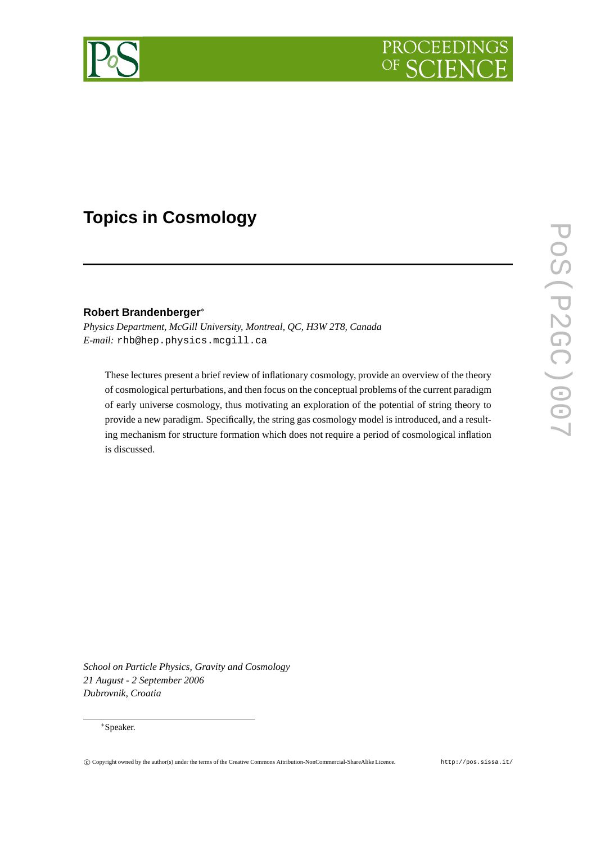

# **Topics in Cosmology**

# **Robert Brandenberger**∗

*Physics Department, McGill University, Montreal, QC, H3W 2T8, Canada E-mail:* rhb@hep.physics.mcgill.ca

These lectures present a brief review of inflationary cosmology, provide an overview of the theory of cosmological perturbations, and then focus on the conceptual problems of the current paradigm of early universe cosmology, thus motivating an exploration of the potential of string theory to provide a new paradigm. Specifically, the string gas cosmology model is introduced, and a resulting mechanism for structure formation which does not require a period of cosmological inflation is discussed.

*School on Particle Physics, Gravity and Cosmology 21 August - 2 September 2006 Dubrovnik, Croatia*

## ∗Speaker.

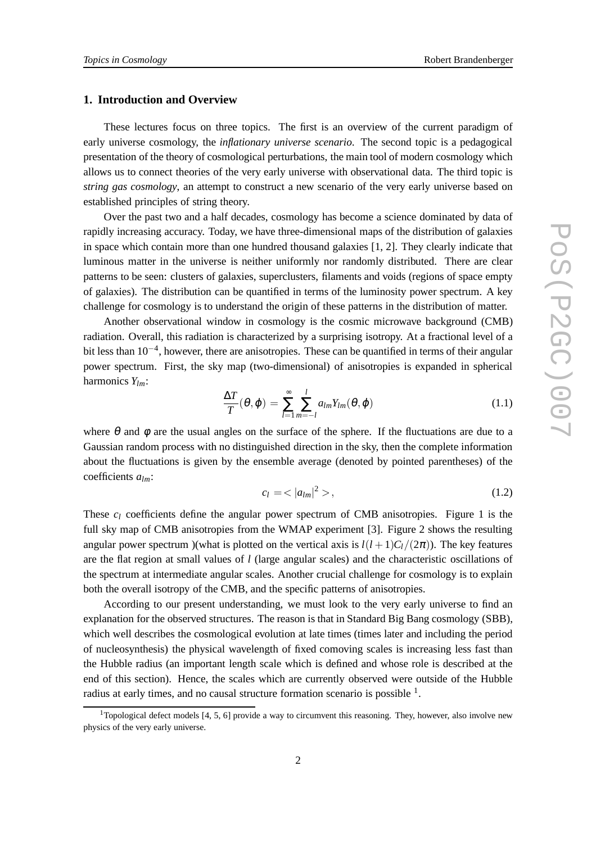## **1. Introduction and Overview**

These lectures focus on three topics. The first is an overview of the current paradigm of early universe cosmology, the *inflationary universe scenario*. The second topic is a pedagogical presentation of the theory of cosmological perturbations, the main tool of modern cosmology which allows us to connect theories of the very early universe with observational data. The third topic is *string gas cosmology*, an attempt to construct a new scenario of the very early universe based on established principles of string theory.

Over the past two and a half decades, cosmology has become a science dominated by data of rapidly increasing accuracy. Today, we have three-dimensional maps of the distribution of galaxies in space which contain more than one hundred thousand galaxies [1, 2]. They clearly indicate that luminous matter in the universe is neither uniformly nor randomly distributed. There are clear patterns to be seen: clusters of galaxies, superclusters, filaments and voids (regions of space empty of galaxies). The distribution can be quantified in terms of the luminosity power spectrum. A key challenge for cosmology is to understand the origin of these patterns in the distribution of matter.

Another observational window in cosmology is the cosmic microwave background (CMB) radiation. Overall, this radiation is characterized by a surprising isotropy. At a fractional level of a bit less than 10−<sup>4</sup> , however, there are anisotropies. These can be quantified in terms of their angular power spectrum. First, the sky map (two-dimensional) of anisotropies is expanded in spherical harmonics *Ylm*:

$$
\frac{\Delta T}{T}(\theta,\varphi) = \sum_{l=1}^{\infty} \sum_{m=-l}^{l} a_{lm} Y_{lm}(\theta,\varphi)
$$
\n(1.1)

where  $\theta$  and  $\phi$  are the usual angles on the surface of the sphere. If the fluctuations are due to a Gaussian random process with no distinguished direction in the sky, then the complete information about the fluctuations is given by the ensemble average (denoted by pointed parentheses) of the coefficients *alm*:

$$
c_l = \langle |a_{lm}|^2 \rangle, \tag{1.2}
$$

These  $c_l$  coefficients define the angular power spectrum of CMB anisotropies. Figure 1 is the full sky map of CMB anisotropies from the WMAP experiment [3]. Figure 2 shows the resulting angular power spectrum )(what is plotted on the vertical axis is  $l(l+1)C_l/(2\pi)$ ). The key features are the flat region at small values of *l* (large angular scales) and the characteristic oscillations of the spectrum at intermediate angular scales. Another crucial challenge for cosmology is to explain both the overall isotropy of the CMB, and the specific patterns of anisotropies.

According to our present understanding, we must look to the very early universe to find an explanation for the observed structures. The reason is that in Standard Big Bang cosmology (SBB), which well describes the cosmological evolution at late times (times later and including the period of nucleosynthesis) the physical wavelength of fixed comoving scales is increasing less fast than the Hubble radius (an important length scale which is defined and whose role is described at the end of this section). Hence, the scales which are currently observed were outside of the Hubble radius at early times, and no causal structure formation scenario is possible  $<sup>1</sup>$ .</sup>

<sup>&</sup>lt;sup>1</sup>Topological defect models [4, 5, 6] provide a way to circumvent this reasoning. They, however, also involve new physics of the very early universe.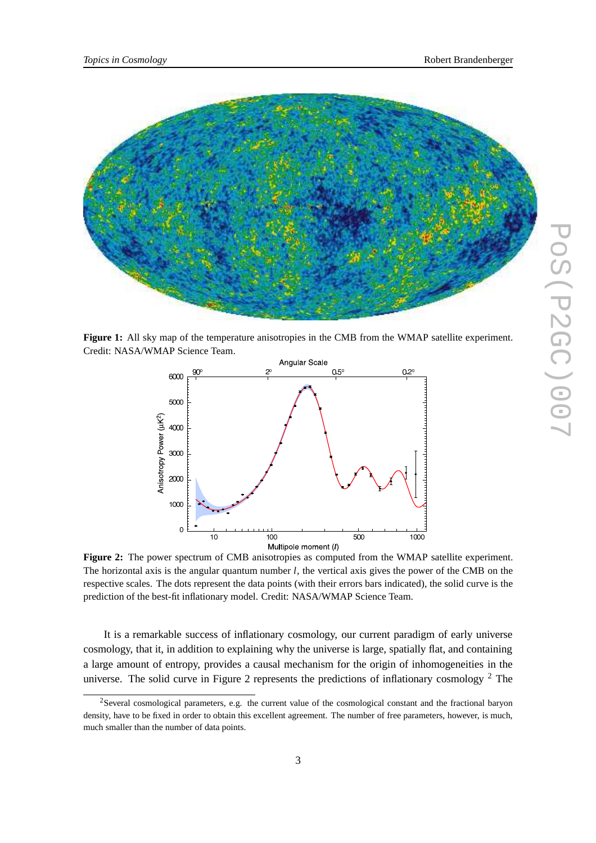

**Figure 1:** All sky map of the temperature anisotropies in the CMB from the WMAP satellite experiment. Credit: NASA/WMAP Science Team.



**Figure 2:** The power spectrum of CMB anisotropies as computed from the WMAP satellite experiment. The horizontal axis is the angular quantum number *l*, the vertical axis gives the power of the CMB on the respective scales. The dots represent the data points (with their errors bars indicated), the solid curve is the prediction of the best-fit inflationary model. Credit: NASA/WMAP Science Team.

It is a remarkable success of inflationary cosmology, our current paradigm of early universe cosmology, that it, in addition to explaining why the universe is large, spatially flat, and containing a large amount of entropy, provides a causal mechanism for the origin of inhomogeneities in the universe. The solid curve in Figure 2 represents the predictions of inflationary cosmology <sup>2</sup> The

<sup>&</sup>lt;sup>2</sup>Several cosmological parameters, e.g. the current value of the cosmological constant and the fractional baryon density, have to be fixed in order to obtain this excellent agreement. The number of free parameters, however, is much, much smaller than the number of data points.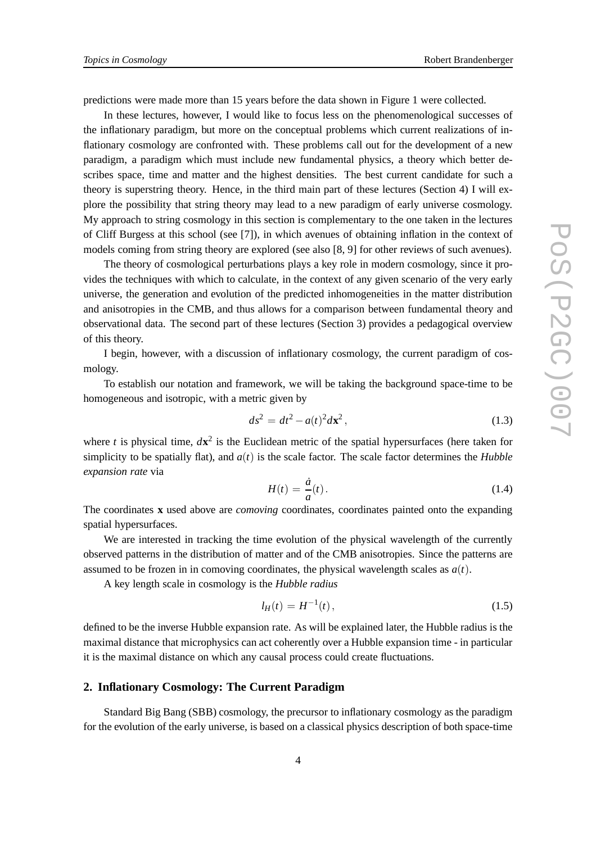predictions were made more than 15 years before the data shown in Figure 1 were collected.

In these lectures, however, I would like to focus less on the phenomenological successes of the inflationary paradigm, but more on the conceptual problems which current realizations of inflationary cosmology are confronted with. These problems call out for the development of a new paradigm, a paradigm which must include new fundamental physics, a theory which better describes space, time and matter and the highest densities. The best current candidate for such a theory is superstring theory. Hence, in the third main part of these lectures (Section 4) I will explore the possibility that string theory may lead to a new paradigm of early universe cosmology. My approach to string cosmology in this section is complementary to the one taken in the lectures of Cliff Burgess at this school (see [7]), in which avenues of obtaining inflation in the context of models coming from string theory are explored (see also [8, 9] for other reviews of such avenues).

The theory of cosmological perturbations plays a key role in modern cosmology, since it provides the techniques with which to calculate, in the context of any given scenario of the very early universe, the generation and evolution of the predicted inhomogeneities in the matter distribution and anisotropies in the CMB, and thus allows for a comparison between fundamental theory and observational data. The second part of these lectures (Section 3) provides a pedagogical overview of this theory.

I begin, however, with a discussion of inflationary cosmology, the current paradigm of cosmology.

To establish our notation and framework, we will be taking the background space-time to be homogeneous and isotropic, with a metric given by

$$
ds^2 = dt^2 - a(t)^2 d\mathbf{x}^2, \qquad (1.3)
$$

where *t* is physical time,  $d\mathbf{x}^2$  is the Euclidean metric of the spatial hypersurfaces (here taken for simplicity to be spatially flat), and  $a(t)$  is the scale factor. The scale factor determines the *Hubble expansion rate* via

$$
H(t) = \frac{\dot{a}}{a}(t). \tag{1.4}
$$

The coordinates **x** used above are *comoving* coordinates, coordinates painted onto the expanding spatial hypersurfaces.

We are interested in tracking the time evolution of the physical wavelength of the currently observed patterns in the distribution of matter and of the CMB anisotropies. Since the patterns are assumed to be frozen in in comoving coordinates, the physical wavelength scales as  $a(t)$ .

A key length scale in cosmology is the *Hubble radius*

$$
l_H(t) = H^{-1}(t),
$$
\n(1.5)

defined to be the inverse Hubble expansion rate. As will be explained later, the Hubble radius is the maximal distance that microphysics can act coherently over a Hubble expansion time - in particular it is the maximal distance on which any causal process could create fluctuations.

# **2. Inflationary Cosmology: The Current Paradigm**

Standard Big Bang (SBB) cosmology, the precursor to inflationary cosmology as the paradigm for the evolution of the early universe, is based on a classical physics description of both space-time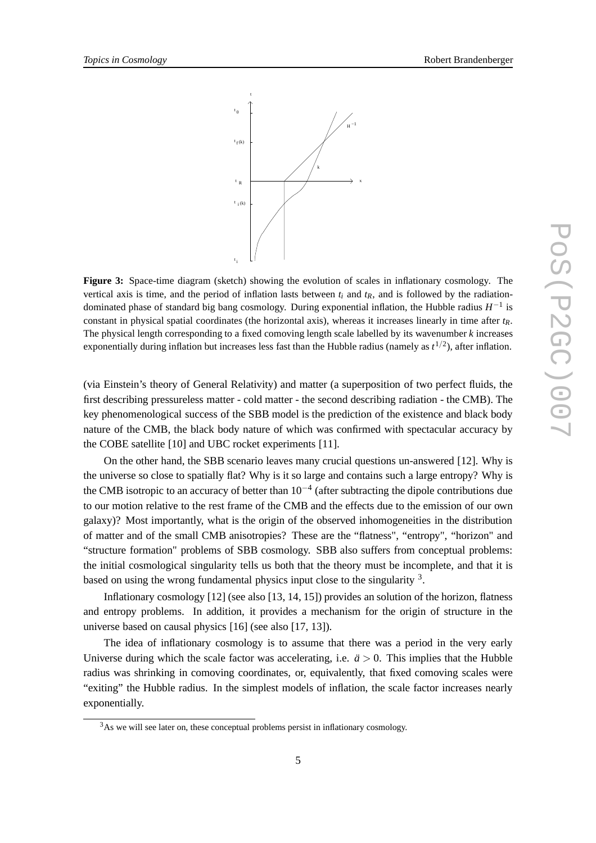

**Figure 3:** Space-time diagram (sketch) showing the evolution of scales in inflationary cosmology. The vertical axis is time, and the period of inflation lasts between  $t_i$  and  $t_R$ , and is followed by the radiationdominated phase of standard big bang cosmology. During exponential inflation, the Hubble radius *H* −1 is constant in physical spatial coordinates (the horizontal axis), whereas it increases linearly in time after  $t_R$ . The physical length corresponding to a fixed comoving length scale labelled by its wavenumber *k* increases exponentially during inflation but increases less fast than the Hubble radius (namely as  $t^{1/2}$ ), after inflation.

(via Einstein's theory of General Relativity) and matter (a superposition of two perfect fluids, the first describing pressureless matter - cold matter - the second describing radiation - the CMB). The key phenomenological success of the SBB model is the prediction of the existence and black body nature of the CMB, the black body nature of which was confirmed with spectacular accuracy by the COBE satellite [10] and UBC rocket experiments [11].

On the other hand, the SBB scenario leaves many crucial questions un-answered [12]. Why is the universe so close to spatially flat? Why is it so large and contains such a large entropy? Why is the CMB isotropic to an accuracy of better than  $10^{-4}$  (after subtracting the dipole contributions due to our motion relative to the rest frame of the CMB and the effects due to the emission of our own galaxy)? Most importantly, what is the origin of the observed inhomogeneities in the distribution of matter and of the small CMB anisotropies? These are the "flatness", "entropy", "horizon" and "structure formation" problems of SBB cosmology. SBB also suffers from conceptual problems: the initial cosmological singularity tells us both that the theory must be incomplete, and that it is based on using the wrong fundamental physics input close to the singularity <sup>3</sup>.

Inflationary cosmology [12] (see also [13, 14, 15]) provides an solution of the horizon, flatness and entropy problems. In addition, it provides a mechanism for the origin of structure in the universe based on causal physics [16] (see also [17, 13]).

The idea of inflationary cosmology is to assume that there was a period in the very early Universe during which the scale factor was accelerating, i.e.  $\ddot{a} > 0$ . This implies that the Hubble radius was shrinking in comoving coordinates, or, equivalently, that fixed comoving scales were "exiting" the Hubble radius. In the simplest models of inflation, the scale factor increases nearly exponentially.

 $3A<sub>S</sub>$  we will see later on, these conceptual problems persist in inflationary cosmology.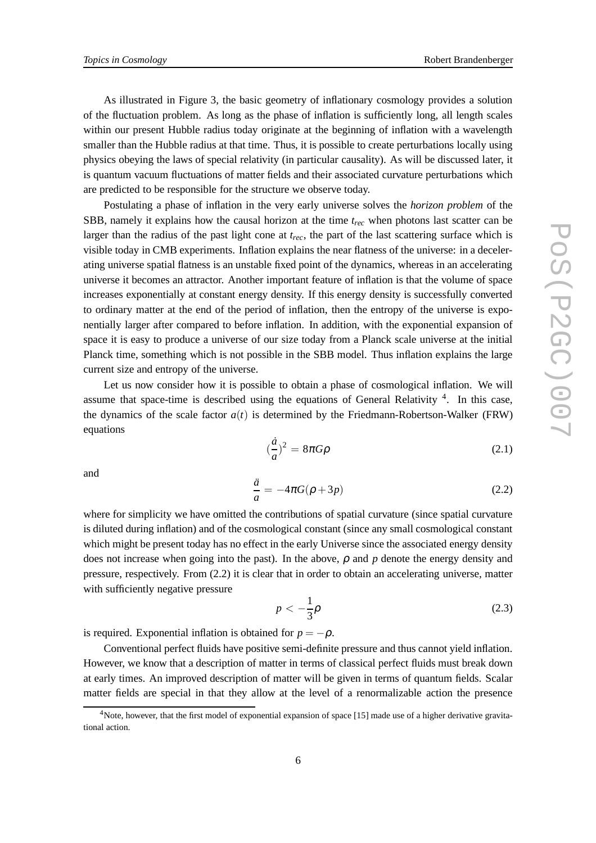As illustrated in Figure 3, the basic geometry of inflationary cosmology provides a solution of the fluctuation problem. As long as the phase of inflation is sufficiently long, all length scales within our present Hubble radius today originate at the beginning of inflation with a wavelength smaller than the Hubble radius at that time. Thus, it is possible to create perturbations locally using physics obeying the laws of special relativity (in particular causality). As will be discussed later, it is quantum vacuum fluctuations of matter fields and their associated curvature perturbations which are predicted to be responsible for the structure we observe today.

Postulating a phase of inflation in the very early universe solves the *horizon problem* of the SBB, namely it explains how the causal horizon at the time *trec* when photons last scatter can be larger than the radius of the past light cone at *trec*, the part of the last scattering surface which is visible today in CMB experiments. Inflation explains the near flatness of the universe: in a decelerating universe spatial flatness is an unstable fixed point of the dynamics, whereas in an accelerating universe it becomes an attractor. Another important feature of inflation is that the volume of space increases exponentially at constant energy density. If this energy density is successfully converted to ordinary matter at the end of the period of inflation, then the entropy of the universe is exponentially larger after compared to before inflation. In addition, with the exponential expansion of space it is easy to produce a universe of our size today from a Planck scale universe at the initial Planck time, something which is not possible in the SBB model. Thus inflation explains the large current size and entropy of the universe.

Let us now consider how it is possible to obtain a phase of cosmological inflation. We will assume that space-time is described using the equations of General Relativity  $4$ . In this case, the dynamics of the scale factor  $a(t)$  is determined by the Friedmann-Robertson-Walker (FRW) equations

$$
\left(\frac{\dot{a}}{a}\right)^2 = 8\pi G\rho\tag{2.1}
$$

and

$$
\frac{\ddot{a}}{a} = -4\pi G(\rho + 3p) \tag{2.2}
$$

where for simplicity we have omitted the contributions of spatial curvature (since spatial curvature is diluted during inflation) and of the cosmological constant (since any small cosmological constant which might be present today has no effect in the early Universe since the associated energy density does not increase when going into the past). In the above,  $\rho$  and  $p$  denote the energy density and pressure, respectively. From (2.2) it is clear that in order to obtain an accelerating universe, matter with sufficiently negative pressure

$$
p < -\frac{1}{3}\rho \tag{2.3}
$$

is required. Exponential inflation is obtained for  $p = -\rho$ .

Conventional perfect fluids have positive semi-definite pressure and thus cannot yield inflation. However, we know that a description of matter in terms of classical perfect fluids must break down at early times. An improved description of matter will be given in terms of quantum fields. Scalar matter fields are special in that they allow at the level of a renormalizable action the presence

<sup>&</sup>lt;sup>4</sup>Note, however, that the first model of exponential expansion of space [15] made use of a higher derivative gravitational action.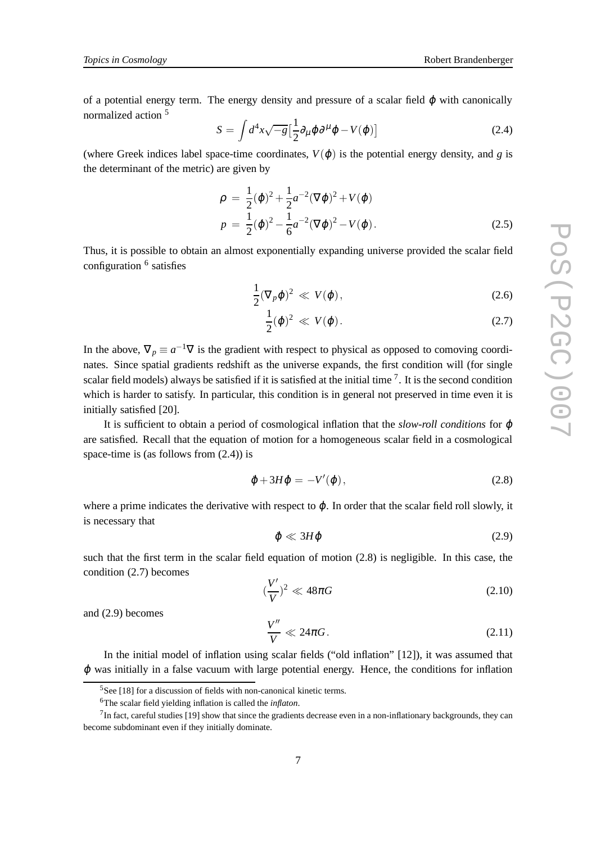of a potential energy term. The energy density and pressure of a scalar field  $\varphi$  with canonically normalized action <sup>5</sup>

$$
S = \int d^4x \sqrt{-g} \left[ \frac{1}{2} \partial_\mu \varphi \partial^\mu \varphi - V(\varphi) \right]
$$
 (2.4)

(where Greek indices label space-time coordinates,  $V(\varphi)$  is the potential energy density, and *g* is the determinant of the metric) are given by

$$
\rho = \frac{1}{2}(\dot{\varphi})^2 + \frac{1}{2}a^{-2}(\nabla\varphi)^2 + V(\varphi)
$$
  
\n
$$
p = \frac{1}{2}(\dot{\varphi})^2 - \frac{1}{6}a^{-2}(\nabla\varphi)^2 - V(\varphi).
$$
\n(2.5)

Thus, it is possible to obtain an almost exponentially expanding universe provided the scalar field configuration <sup>6</sup> satisfies

$$
\frac{1}{2}(\nabla_p \varphi)^2 \ll V(\varphi),\tag{2.6}
$$

$$
\frac{1}{2}(\dot{\varphi})^2 \ll V(\varphi). \tag{2.7}
$$

In the above,  $\nabla_p \equiv a^{-1}\nabla$  is the gradient with respect to physical as opposed to comoving coordinates. Since spatial gradients redshift as the universe expands, the first condition will (for single scalar field models) always be satisfied if it is satisfied at the initial time  $\frac{7}{1}$ . It is the second condition which is harder to satisfy. In particular, this condition is in general not preserved in time even it is initially satisfied [20].

It is sufficient to obtain a period of cosmological inflation that the *slow-roll conditions* for ϕ are satisfied. Recall that the equation of motion for a homogeneous scalar field in a cosmological space-time is (as follows from (2.4)) is

$$
\ddot{\varphi} + 3H\dot{\varphi} = -V'(\varphi), \qquad (2.8)
$$

where a prime indicates the derivative with respect to  $\varphi$ . In order that the scalar field roll slowly, it is necessary that

$$
\ddot{\varphi} \ll 3H\dot{\varphi} \tag{2.9}
$$

such that the first term in the scalar field equation of motion (2.8) is negligible. In this case, the condition (2.7) becomes

$$
(\frac{V'}{V})^2 \ll 48\pi G\tag{2.10}
$$

and (2.9) becomes

$$
\frac{V''}{V} \ll 24\pi G. \tag{2.11}
$$

In the initial model of inflation using scalar fields ("old inflation" [12]), it was assumed that  $\varphi$  was initially in a false vacuum with large potential energy. Hence, the conditions for inflation

 $5$ See [18] for a discussion of fields with non-canonical kinetic terms.

<sup>6</sup>The scalar field yielding inflation is called the *inflaton*.

 $<sup>7</sup>$ In fact, careful studies [19] show that since the gradients decrease even in a non-inflationary backgrounds, they can</sup> become subdominant even if they initially dominate.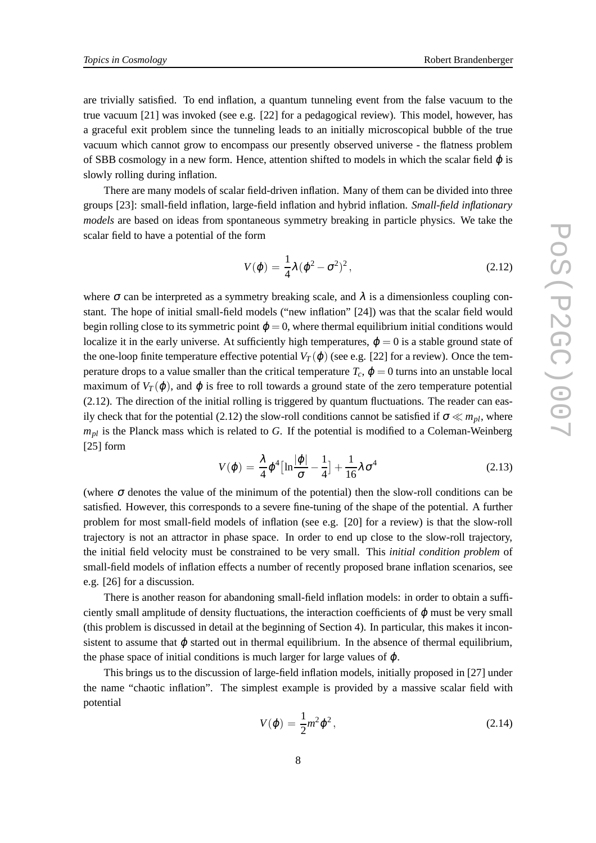are trivially satisfied. To end inflation, a quantum tunneling event from the false vacuum to the true vacuum [21] was invoked (see e.g. [22] for a pedagogical review). This model, however, has a graceful exit problem since the tunneling leads to an initially microscopical bubble of the true vacuum which cannot grow to encompass our presently observed universe - the flatness problem of SBB cosmology in a new form. Hence, attention shifted to models in which the scalar field  $\varphi$  is slowly rolling during inflation.

There are many models of scalar field-driven inflation. Many of them can be divided into three groups [23]: small-field inflation, large-field inflation and hybrid inflation. *Small-field inflationary models* are based on ideas from spontaneous symmetry breaking in particle physics. We take the scalar field to have a potential of the form

$$
V(\varphi) = \frac{1}{4}\lambda (\varphi^2 - \sigma^2)^2, \qquad (2.12)
$$

where  $\sigma$  can be interpreted as a symmetry breaking scale, and  $\lambda$  is a dimensionless coupling constant. The hope of initial small-field models ("new inflation" [24]) was that the scalar field would begin rolling close to its symmetric point  $\varphi = 0$ , where thermal equilibrium initial conditions would localize it in the early universe. At sufficiently high temperatures,  $\varphi = 0$  is a stable ground state of the one-loop finite temperature effective potential  $V_T(\phi)$  (see e.g. [22] for a review). Once the temperature drops to a value smaller than the critical temperature  $T_c$ ,  $\varphi = 0$  turns into an unstable local maximum of  $V_T(\varphi)$ , and  $\varphi$  is free to roll towards a ground state of the zero temperature potential (2.12). The direction of the initial rolling is triggered by quantum fluctuations. The reader can easily check that for the potential (2.12) the slow-roll conditions cannot be satisfied if  $\sigma \ll m_{pl}$ , where  $m_{pl}$  is the Planck mass which is related to *G*. If the potential is modified to a Coleman-Weinberg [25] form

$$
V(\varphi) = \frac{\lambda}{4} \varphi^4 \left[ \ln \frac{|\varphi|}{\sigma} - \frac{1}{4} \right] + \frac{1}{16} \lambda \sigma^4
$$
 (2.13)

(where  $\sigma$  denotes the value of the minimum of the potential) then the slow-roll conditions can be satisfied. However, this corresponds to a severe fine-tuning of the shape of the potential. A further problem for most small-field models of inflation (see e.g. [20] for a review) is that the slow-roll trajectory is not an attractor in phase space. In order to end up close to the slow-roll trajectory, the initial field velocity must be constrained to be very small. This *initial condition problem* of small-field models of inflation effects a number of recently proposed brane inflation scenarios, see e.g. [26] for a discussion.

There is another reason for abandoning small-field inflation models: in order to obtain a sufficiently small amplitude of density fluctuations, the interaction coefficients of  $\varphi$  must be very small (this problem is discussed in detail at the beginning of Section 4). In particular, this makes it inconsistent to assume that  $\varphi$  started out in thermal equilibrium. In the absence of thermal equilibrium, the phase space of initial conditions is much larger for large values of  $\varphi$ .

This brings us to the discussion of large-field inflation models, initially proposed in [27] under the name "chaotic inflation". The simplest example is provided by a massive scalar field with potential

$$
V(\varphi) = \frac{1}{2}m^2\varphi^2, \qquad (2.14)
$$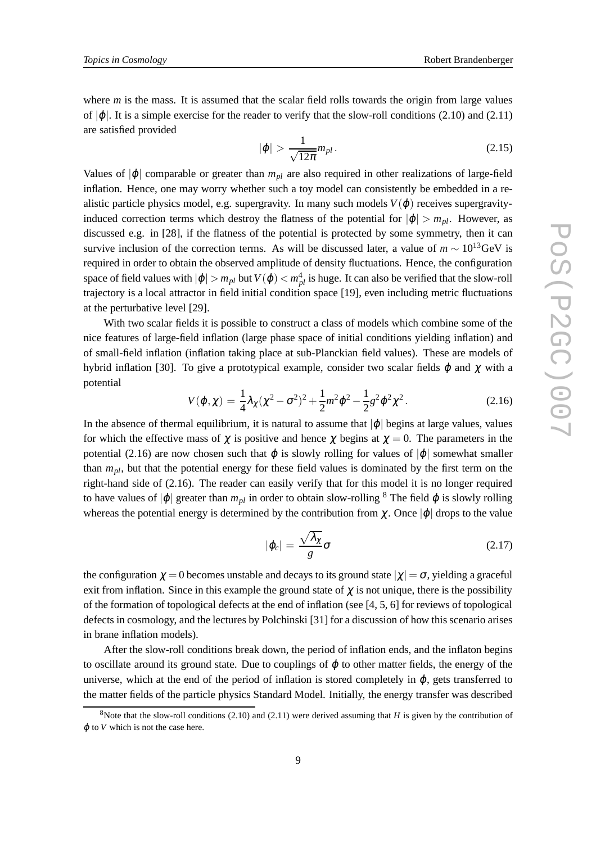where *m* is the mass. It is assumed that the scalar field rolls towards the origin from large values of  $|\phi|$ . It is a simple exercise for the reader to verify that the slow-roll conditions (2.10) and (2.11) are satisfied provided

$$
|\varphi| > \frac{1}{\sqrt{12\pi}} m_{pl} \,. \tag{2.15}
$$

Values of  $|\phi|$  comparable or greater than  $m_{pl}$  are also required in other realizations of large-field inflation. Hence, one may worry whether such a toy model can consistently be embedded in a realistic particle physics model, e.g. supergravity. In many such models  $V(\varphi)$  receives supergravityinduced correction terms which destroy the flatness of the potential for  $|\phi| > m_{pl}$ . However, as discussed e.g. in [28], if the flatness of the potential is protected by some symmetry, then it can survive inclusion of the correction terms. As will be discussed later, a value of  $m \sim 10^{13}$ GeV is required in order to obtain the observed amplitude of density fluctuations. Hence, the configuration space of field values with  $|\varphi| > m_{pl}$  but  $V(\varphi) < m_{pl}^4$  is huge. It can also be verified that the slow-roll trajectory is a local attractor in field initial condition space [19], even including metric fluctuations at the perturbative level [29].

With two scalar fields it is possible to construct a class of models which combine some of the nice features of large-field inflation (large phase space of initial conditions yielding inflation) and of small-field inflation (inflation taking place at sub-Planckian field values). These are models of hybrid inflation [30]. To give a prototypical example, consider two scalar fields  $φ$  and  $χ$  with a potential

$$
V(\varphi, \chi) = \frac{1}{4} \lambda_{\chi} (\chi^2 - \sigma^2)^2 + \frac{1}{2} m^2 \varphi^2 - \frac{1}{2} g^2 \varphi^2 \chi^2.
$$
 (2.16)

In the absence of thermal equilibrium, it is natural to assume that  $|\varphi|$  begins at large values, values for which the effective mass of  $\chi$  is positive and hence  $\chi$  begins at  $\chi = 0$ . The parameters in the potential (2.16) are now chosen such that  $\varphi$  is slowly rolling for values of  $|\varphi|$  somewhat smaller than *mpl*, but that the potential energy for these field values is dominated by the first term on the right-hand side of (2.16). The reader can easily verify that for this model it is no longer required to have values of  $|\varphi|$  greater than  $m_{pl}$  in order to obtain slow-rolling <sup>8</sup> The field  $\varphi$  is slowly rolling whereas the potential energy is determined by the contribution from  $\chi$ . Once  $|\phi|$  drops to the value

$$
|\varphi_c| = \frac{\sqrt{\lambda_\chi}}{g} \sigma \tag{2.17}
$$

the configuration  $\chi = 0$  becomes unstable and decays to its ground state  $|\chi| = \sigma$ , yielding a graceful exit from inflation. Since in this example the ground state of  $\chi$  is not unique, there is the possibility of the formation of topological defects at the end of inflation (see [4, 5, 6] for reviews of topological defects in cosmology, and the lectures by Polchinski [31] for a discussion of how this scenario arises in brane inflation models).

After the slow-roll conditions break down, the period of inflation ends, and the inflaton begins to oscillate around its ground state. Due to couplings of  $\varphi$  to other matter fields, the energy of the universe, which at the end of the period of inflation is stored completely in  $\varphi$ , gets transferred to the matter fields of the particle physics Standard Model. Initially, the energy transfer was described

<sup>&</sup>lt;sup>8</sup>Note that the slow-roll conditions  $(2.10)$  and  $(2.11)$  were derived assuming that *H* is given by the contribution of  $\varphi$  to *V* which is not the case here.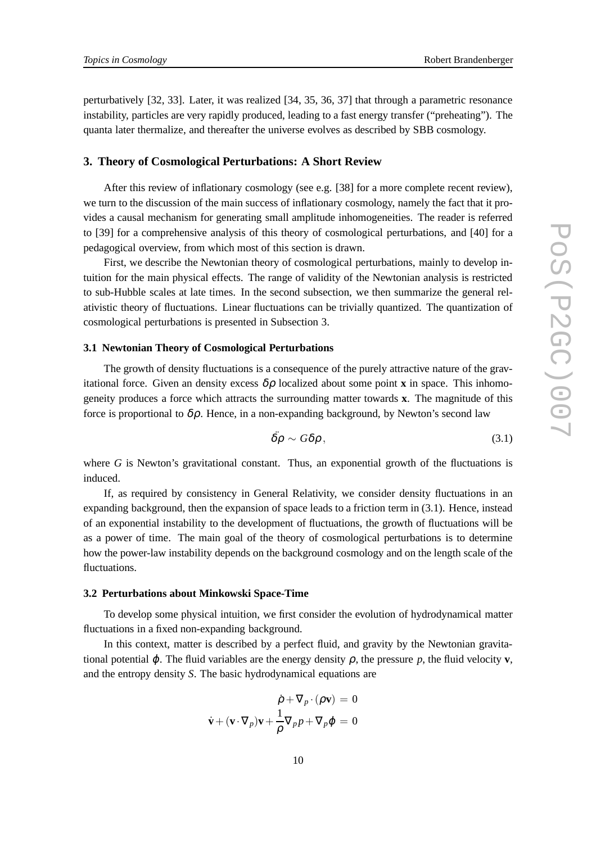perturbatively [32, 33]. Later, it was realized [34, 35, 36, 37] that through a parametric resonance instability, particles are very rapidly produced, leading to a fast energy transfer ("preheating"). The quanta later thermalize, and thereafter the universe evolves as described by SBB cosmology.

## **3. Theory of Cosmological Perturbations: A Short Review**

After this review of inflationary cosmology (see e.g. [38] for a more complete recent review), we turn to the discussion of the main success of inflationary cosmology, namely the fact that it provides a causal mechanism for generating small amplitude inhomogeneities. The reader is referred to [39] for a comprehensive analysis of this theory of cosmological perturbations, and [40] for a pedagogical overview, from which most of this section is drawn.

First, we describe the Newtonian theory of cosmological perturbations, mainly to develop intuition for the main physical effects. The range of validity of the Newtonian analysis is restricted to sub-Hubble scales at late times. In the second subsection, we then summarize the general relativistic theory of fluctuations. Linear fluctuations can be trivially quantized. The quantization of cosmological perturbations is presented in Subsection 3.

## **3.1 Newtonian Theory of Cosmological Perturbations**

The growth of density fluctuations is a consequence of the purely attractive nature of the gravitational force. Given an density excess  $\delta \rho$  localized about some point **x** in space. This inhomogeneity produces a force which attracts the surrounding matter towards **x**. The magnitude of this force is proportional to  $\delta \rho$ . Hence, in a non-expanding background, by Newton's second law

$$
\ddot{\delta\rho} \sim G\delta\rho\,,\tag{3.1}
$$

where *G* is Newton's gravitational constant. Thus, an exponential growth of the fluctuations is induced.

If, as required by consistency in General Relativity, we consider density fluctuations in an expanding background, then the expansion of space leads to a friction term in (3.1). Hence, instead of an exponential instability to the development of fluctuations, the growth of fluctuations will be as a power of time. The main goal of the theory of cosmological perturbations is to determine how the power-law instability depends on the background cosmology and on the length scale of the fluctuations.

### **3.2 Perturbations about Minkowski Space-Time**

To develop some physical intuition, we first consider the evolution of hydrodynamical matter fluctuations in a fixed non-expanding background.

In this context, matter is described by a perfect fluid, and gravity by the Newtonian gravitational potential  $\varphi$ . The fluid variables are the energy density  $\rho$ , the pressure  $p$ , the fluid velocity **v**, and the entropy density *S*. The basic hydrodynamical equations are

$$
\dot{\rho} + \nabla_p \cdot (\rho \mathbf{v}) = 0
$$
  

$$
\dot{\mathbf{v}} + (\mathbf{v} \cdot \nabla_p) \mathbf{v} + \frac{1}{\rho} \nabla_p p + \nabla_p \phi = 0
$$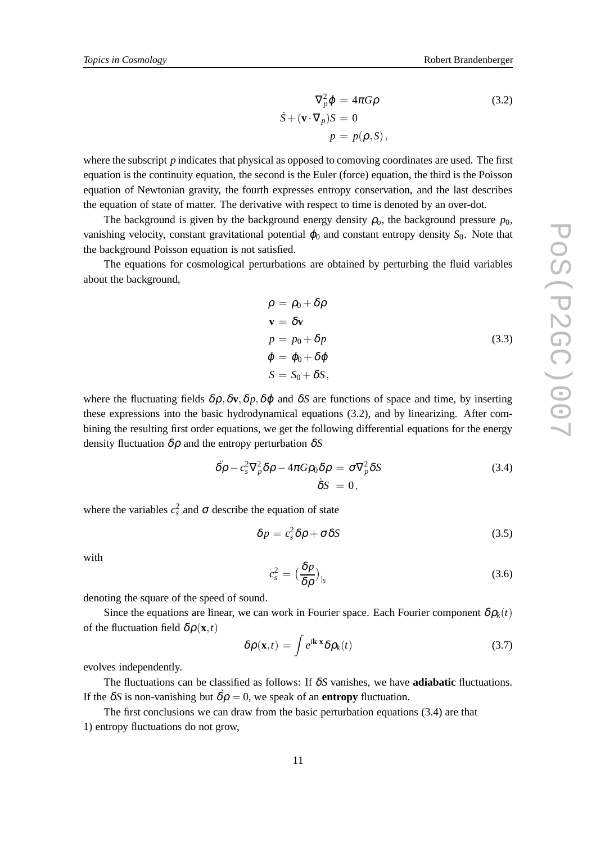$$
\nabla_p^2 \varphi = 4\pi G \rho
$$
\n
$$
\dot{S} + (\mathbf{v} \cdot \nabla_p) S = 0
$$
\n
$$
p = p(\rho, S),
$$
\n(3.2)

where the subscript *p* indicates that physical as opposed to comoving coordinates are used. The first equation is the continuity equation, the second is the Euler (force) equation, the third is the Poisson equation of Newtonian gravity, the fourth expresses entropy conservation, and the last describes the equation of state of matter. The derivative with respect to time is denoted by an over-dot.

The background is given by the background energy density  $\rho_o$ , the background pressure  $p_0$ , vanishing velocity, constant gravitational potential  $\varphi_0$  and constant entropy density  $S_0$ . Note that the background Poisson equation is not satisfied.

The equations for cosmological perturbations are obtained by perturbing the fluid variables about the background,

$$
\rho = \rho_0 + \delta \rho
$$
  
\n
$$
\mathbf{v} = \delta \mathbf{v}
$$
  
\n
$$
p = p_0 + \delta p
$$
  
\n
$$
\varphi = \varphi_0 + \delta \varphi
$$
  
\n
$$
S = S_0 + \delta S,
$$
\n(3.3)

where the fluctuating fields  $\delta \rho$ ,  $\delta \mathbf{v}$ ,  $\delta \rho$ ,  $\delta \phi$  and  $\delta S$  are functions of space and time, by inserting these expressions into the basic hydrodynamical equations (3.2), and by linearizing. After combining the resulting first order equations, we get the following differential equations for the energy density fluctuation δρ and the entropy perturbation δ*S*

$$
\ddot{\delta\rho} - c_s^2 \nabla_p^2 \delta\rho - 4\pi G \rho_0 \delta\rho = \sigma \nabla_p^2 \delta S
$$
\n
$$
\dot{\delta}S = 0,
$$
\n(3.4)

where the variables  $c_s^2$  and  $\sigma$  describe the equation of state

$$
\delta p = c_s^2 \delta \rho + \sigma \delta S \tag{3.5}
$$

with

$$
c_s^2 = \left(\frac{\delta p}{\delta \rho}\right)_{|s} \tag{3.6}
$$

denoting the square of the speed of sound.

Since the equations are linear, we can work in Fourier space. Each Fourier component  $\delta \rho_k(t)$ of the fluctuation field  $\delta \rho(\mathbf{x},t)$ 

$$
\delta \rho(\mathbf{x},t) = \int e^{i\mathbf{k}\cdot\mathbf{x}} \delta \rho_k(t)
$$
\n(3.7)

evolves independently.

The fluctuations can be classified as follows: If δ*S* vanishes, we have **adiabatic** fluctuations. If the  $\delta S$  is non-vanishing but  $\dot{\delta \rho} = 0$ , we speak of an **entropy** fluctuation.

The first conclusions we can draw from the basic perturbation equations (3.4) are that 1) entropy fluctuations do not grow,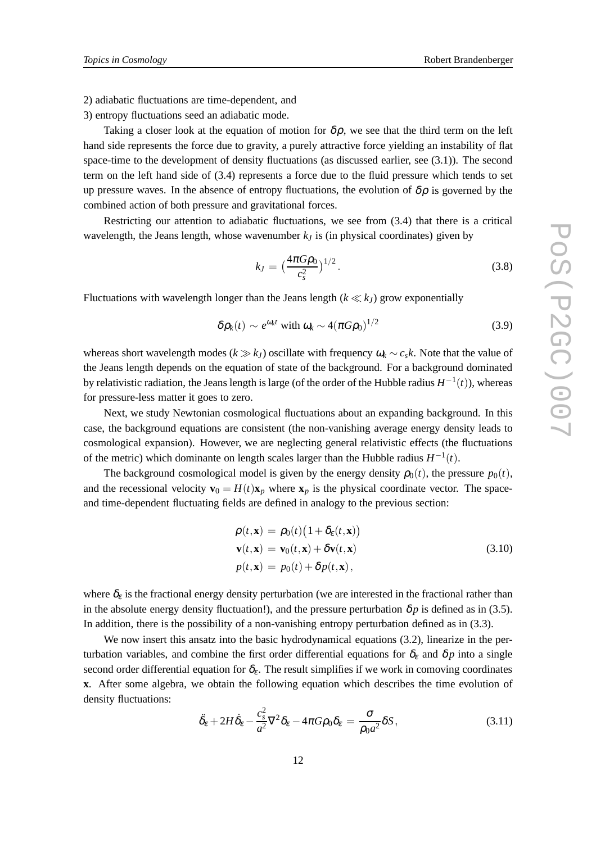2) adiabatic fluctuations are time-dependent, and

3) entropy fluctuations seed an adiabatic mode.

Taking a closer look at the equation of motion for  $\delta \rho$ , we see that the third term on the left hand side represents the force due to gravity, a purely attractive force yielding an instability of flat space-time to the development of density fluctuations (as discussed earlier, see (3.1)). The second term on the left hand side of (3.4) represents a force due to the fluid pressure which tends to set up pressure waves. In the absence of entropy fluctuations, the evolution of  $\delta \rho$  is governed by the combined action of both pressure and gravitational forces.

Restricting our attention to adiabatic fluctuations, we see from (3.4) that there is a critical wavelength, the Jeans length, whose wavenumber  $k<sub>I</sub>$  is (in physical coordinates) given by

$$
k_J = \left(\frac{4\pi G\rho_0}{c_s^2}\right)^{1/2}.\tag{3.8}
$$

Fluctuations with wavelength longer than the Jeans length  $(k \ll k_J)$  grow exponentially

$$
\delta \rho_k(t) \sim e^{\omega_k t} \text{ with } \omega_k \sim 4(\pi G \rho_0)^{1/2} \tag{3.9}
$$

whereas short wavelength modes ( $k \gg k_l$ ) oscillate with frequency  $\omega_k \sim c_s k$ . Note that the value of the Jeans length depends on the equation of state of the background. For a background dominated by relativistic radiation, the Jeans length is large (of the order of the Hubble radius *H* −1 (*t*)), whereas for pressure-less matter it goes to zero.

Next, we study Newtonian cosmological fluctuations about an expanding background. In this case, the background equations are consistent (the non-vanishing average energy density leads to cosmological expansion). However, we are neglecting general relativistic effects (the fluctuations of the metric) which dominante on length scales larger than the Hubble radius  $H^{-1}(t)$ .

The background cosmological model is given by the energy density  $\rho_0(t)$ , the pressure  $p_0(t)$ , and the recessional velocity  $\mathbf{v}_0 = H(t)\mathbf{x}_p$  where  $\mathbf{x}_p$  is the physical coordinate vector. The spaceand time-dependent fluctuating fields are defined in analogy to the previous section:

$$
\rho(t, \mathbf{x}) = \rho_0(t) (1 + \delta_{\varepsilon}(t, \mathbf{x}))
$$
  
\n
$$
\mathbf{v}(t, \mathbf{x}) = \mathbf{v}_0(t, \mathbf{x}) + \delta \mathbf{v}(t, \mathbf{x})
$$
  
\n
$$
p(t, \mathbf{x}) = p_0(t) + \delta p(t, \mathbf{x}),
$$
\n(3.10)

where  $\delta_{\varepsilon}$  is the fractional energy density perturbation (we are interested in the fractional rather than in the absolute energy density fluctuation!), and the pressure perturbation  $\delta p$  is defined as in (3.5). In addition, there is the possibility of a non-vanishing entropy perturbation defined as in (3.3).

We now insert this ansatz into the basic hydrodynamical equations (3.2), linearize in the perturbation variables, and combine the first order differential equations for  $\delta_{\epsilon}$  and  $\delta p$  into a single second order differential equation for  $\delta_{\varepsilon}$ . The result simplifies if we work in comoving coordinates **x**. After some algebra, we obtain the following equation which describes the time evolution of density fluctuations:

$$
\ddot{\delta}_{\varepsilon} + 2H\dot{\delta}_{\varepsilon} - \frac{c_s^2}{a^2}\nabla^2\delta_{\varepsilon} - 4\pi G\rho_0\delta_{\varepsilon} = \frac{\sigma}{\rho_0 a^2}\delta S,\tag{3.11}
$$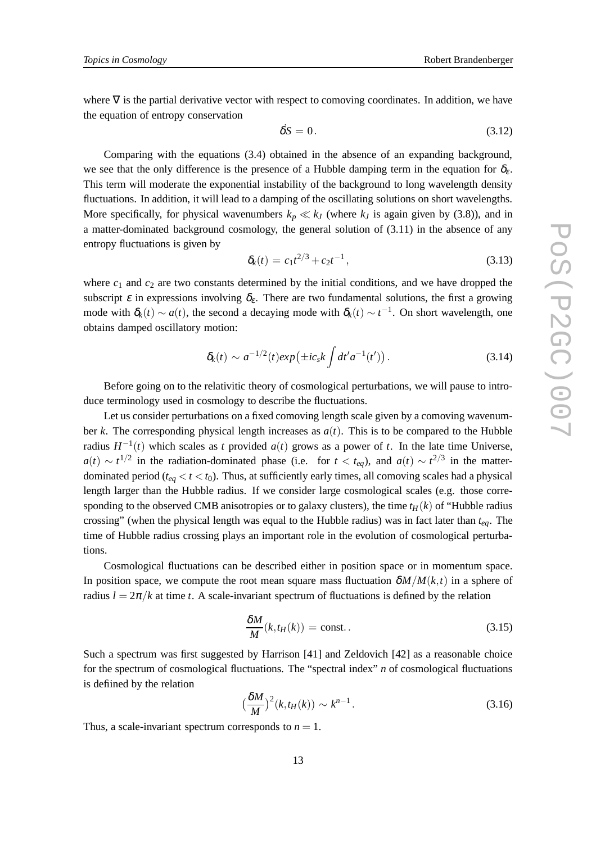where  $\nabla$  is the partial derivative vector with respect to comoving coordinates. In addition, we have the equation of entropy conservation

$$
\dot{\delta S} = 0. \tag{3.12}
$$

Comparing with the equations (3.4) obtained in the absence of an expanding background, we see that the only difference is the presence of a Hubble damping term in the equation for  $\delta_{\epsilon}$ . This term will moderate the exponential instability of the background to long wavelength density fluctuations. In addition, it will lead to a damping of the oscillating solutions on short wavelengths. More specifically, for physical wavenumbers  $k_p \ll k_j$  (where  $k_j$  is again given by (3.8)), and in a matter-dominated background cosmology, the general solution of (3.11) in the absence of any entropy fluctuations is given by

$$
\delta_k(t) = c_1 t^{2/3} + c_2 t^{-1}, \qquad (3.13)
$$

where  $c_1$  and  $c_2$  are two constants determined by the initial conditions, and we have dropped the subscript  $\varepsilon$  in expressions involving  $\delta_{\varepsilon}$ . There are two fundamental solutions, the first a growing mode with  $\delta_k(t) \sim a(t)$ , the second a decaying mode with  $\delta_k(t) \sim t^{-1}$ . On short wavelength, one obtains damped oscillatory motion:

$$
\delta_k(t) \sim a^{-1/2}(t) exp(\pm ic_s k \int dt' a^{-1}(t') ). \qquad (3.14)
$$

Before going on to the relativitic theory of cosmological perturbations, we will pause to introduce terminology used in cosmology to describe the fluctuations.

Let us consider perturbations on a fixed comoving length scale given by a comoving wavenumber *k*. The corresponding physical length increases as  $a(t)$ . This is to be compared to the Hubble radius  $H^{-1}(t)$  which scales as *t* provided  $a(t)$  grows as a power of *t*. In the late time Universe,  $a(t) \sim t^{1/2}$  in the radiation-dominated phase (i.e. for  $t < t_{eq}$ ), and  $a(t) \sim t^{2/3}$  in the matterdominated period ( $t_{ea} < t < t_0$ ). Thus, at sufficiently early times, all comoving scales had a physical length larger than the Hubble radius. If we consider large cosmological scales (e.g. those corresponding to the observed CMB anisotropies or to galaxy clusters), the time  $t_H(k)$  of "Hubble radius" crossing" (when the physical length was equal to the Hubble radius) was in fact later than *teq*. The time of Hubble radius crossing plays an important role in the evolution of cosmological perturbations.

Cosmological fluctuations can be described either in position space or in momentum space. In position space, we compute the root mean square mass fluctuation  $\delta M/M(k,t)$  in a sphere of radius  $l = 2\pi/k$  at time *t*. A scale-invariant spectrum of fluctuations is defined by the relation

$$
\frac{\delta M}{M}(k, t_H(k)) = \text{const.} \tag{3.15}
$$

Such a spectrum was first suggested by Harrison [41] and Zeldovich [42] as a reasonable choice for the spectrum of cosmological fluctuations. The "spectral index" *n* of cosmological fluctuations is defiined by the relation

$$
\left(\frac{\delta M}{M}\right)^2 (k, t_H(k)) \sim k^{n-1}.
$$
\n(3.16)

Thus, a scale-invariant spectrum corresponds to  $n = 1$ .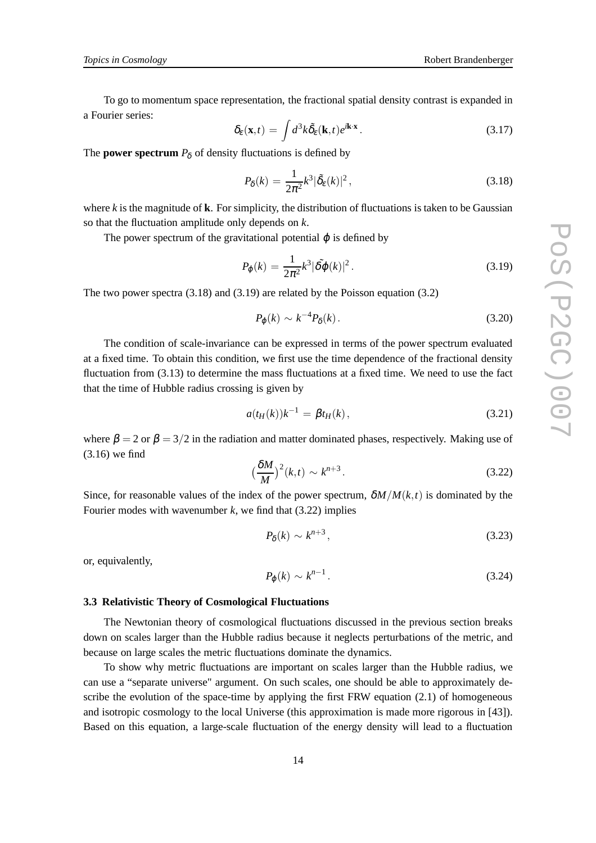To go to momentum space representation, the fractional spatial density contrast is expanded in a Fourier series:

$$
\delta_{\varepsilon}(\mathbf{x},t) = \int d^3k \tilde{\delta}_{\varepsilon}(\mathbf{k},t) e^{i\mathbf{k}\cdot\mathbf{x}}.
$$
 (3.17)

The **power spectrum**  $P_{\delta}$  of density fluctuations is defined by

$$
P_{\delta}(k) = \frac{1}{2\pi^2} k^3 |\tilde{\delta}_{\varepsilon}(k)|^2, \qquad (3.18)
$$

where  $k$  is the magnitude of  $k$ . For simplicity, the distribution of fluctuations is taken to be Gaussian so that the fluctuation amplitude only depends on *k*.

The power spectrum of the gravitational potential  $\varphi$  is defined by

$$
P_{\varphi}(k) = \frac{1}{2\pi^2} k^3 |\tilde{\delta\varphi}(k)|^2.
$$
 (3.19)

The two power spectra (3.18) and (3.19) are related by the Poisson equation (3.2)

$$
P_{\varphi}(k) \sim k^{-4} P_{\delta}(k). \tag{3.20}
$$

The condition of scale-invariance can be expressed in terms of the power spectrum evaluated at a fixed time. To obtain this condition, we first use the time dependence of the fractional density fluctuation from (3.13) to determine the mass fluctuations at a fixed time. We need to use the fact that the time of Hubble radius crossing is given by

$$
a(t_H(k))k^{-1} = \beta t_H(k), \qquad (3.21)
$$

where  $\beta = 2$  or  $\beta = 3/2$  in the radiation and matter dominated phases, respectively. Making use of (3.16) we find

$$
\left(\frac{\delta M}{M}\right)^2 (k,t) \sim k^{n+3}.\tag{3.22}
$$

Since, for reasonable values of the index of the power spectrum,  $\delta M/M(k,t)$  is dominated by the Fourier modes with wavenumber *k*, we find that (3.22) implies

$$
P_{\delta}(k) \sim k^{n+3},\tag{3.23}
$$

or, equivalently,

$$
P_{\varphi}(k) \sim k^{n-1} \,. \tag{3.24}
$$

#### **3.3 Relativistic Theory of Cosmological Fluctuations**

The Newtonian theory of cosmological fluctuations discussed in the previous section breaks down on scales larger than the Hubble radius because it neglects perturbations of the metric, and because on large scales the metric fluctuations dominate the dynamics.

To show why metric fluctuations are important on scales larger than the Hubble radius, we can use a "separate universe" argument. On such scales, one should be able to approximately describe the evolution of the space-time by applying the first  $FRW$  equation (2.1) of homogeneous and isotropic cosmology to the local Universe (this approximation is made more rigorous in [43]). Based on this equation, a large-scale fluctuation of the energy density will lead to a fluctuation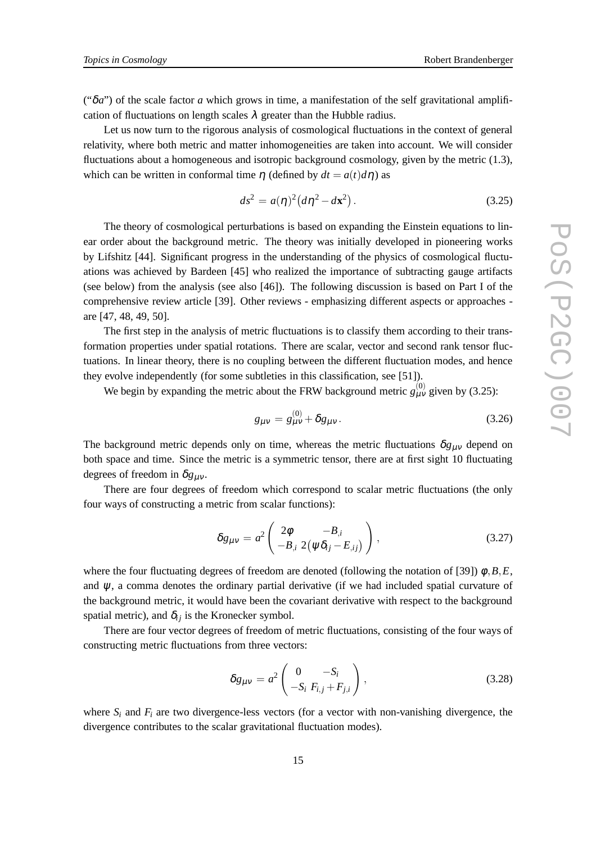(" $\delta a$ ") of the scale factor *a* which grows in time, a manifestation of the self gravitational amplification of fluctuations on length scales  $\lambda$  greater than the Hubble radius.

Let us now turn to the rigorous analysis of cosmological fluctuations in the context of general relativity, where both metric and matter inhomogeneities are taken into account. We will consider fluctuations about a homogeneous and isotropic background cosmology, given by the metric (1.3), which can be written in conformal time  $\eta$  (defined by  $dt = a(t) d\eta$ ) as

$$
ds^2 = a(\eta)^2 (d\eta^2 - d\mathbf{x}^2).
$$
 (3.25)

The theory of cosmological perturbations is based on expanding the Einstein equations to linear order about the background metric. The theory was initially developed in pioneering works by Lifshitz [44]. Significant progress in the understanding of the physics of cosmological fluctuations was achieved by Bardeen [45] who realized the importance of subtracting gauge artifacts (see below) from the analysis (see also [46]). The following discussion is based on Part I of the comprehensive review article [39]. Other reviews - emphasizing different aspects or approaches are [47, 48, 49, 50].

The first step in the analysis of metric fluctuations is to classify them according to their transformation properties under spatial rotations. There are scalar, vector and second rank tensor fluctuations. In linear theory, there is no coupling between the different fluctuation modes, and hence they evolve independently (for some subtleties in this classification, see [51]).

We begin by expanding the metric about the FRW background metric  $g_{\mu\nu}^{(0)}$  given by (3.25):

$$
g_{\mu\nu} = g_{\mu\nu}^{(0)} + \delta g_{\mu\nu}.
$$
 (3.26)

The background metric depends only on time, whereas the metric fluctuations  $\delta g_{\mu\nu}$  depend on both space and time. Since the metric is a symmetric tensor, there are at first sight 10 fluctuating degrees of freedom in  $\delta g_{\mu\nu}$ .

There are four degrees of freedom which correspond to scalar metric fluctuations (the only four ways of constructing a metric from scalar functions):

$$
\delta g_{\mu\nu} = a^2 \begin{pmatrix} 2\phi & -B_{,i} \\ -B_{,i} & 2(\psi \delta_{ij} - E_{,ij}) \end{pmatrix}, \qquad (3.27)
$$

where the four fluctuating degrees of freedom are denoted (following the notation of [39]) φ,*B*,*E*, and  $\psi$ , a comma denotes the ordinary partial derivative (if we had included spatial curvature of the background metric, it would have been the covariant derivative with respect to the background spatial metric), and  $\delta_{ij}$  is the Kronecker symbol.

There are four vector degrees of freedom of metric fluctuations, consisting of the four ways of constructing metric fluctuations from three vectors:

$$
\delta g_{\mu\nu} = a^2 \begin{pmatrix} 0 & -S_i \\ -S_i & F_{i,j} + F_{j,i} \end{pmatrix}, \qquad (3.28)
$$

where  $S_i$  and  $F_i$  are two divergence-less vectors (for a vector with non-vanishing divergence, the divergence contributes to the scalar gravitational fluctuation modes).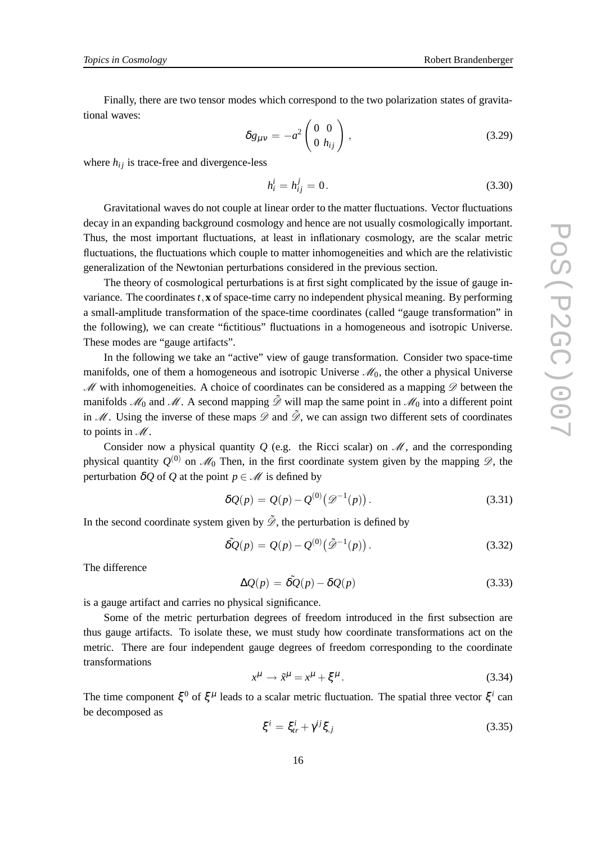Finally, there are two tensor modes which correspond to the two polarization states of gravitational waves:

$$
\delta g_{\mu\nu} = -a^2 \begin{pmatrix} 0 & 0 \\ 0 & h_{ij} \end{pmatrix}, \qquad (3.29)
$$

where  $h_{ij}$  is trace-free and divergence-less

$$
h_i^i = h_{ij}^j = 0.
$$
 (3.30)

Gravitational waves do not couple at linear order to the matter fluctuations. Vector fluctuations decay in an expanding background cosmology and hence are not usually cosmologically important. Thus, the most important fluctuations, at least in inflationary cosmology, are the scalar metric fluctuations, the fluctuations which couple to matter inhomogeneities and which are the relativistic generalization of the Newtonian perturbations considered in the previous section.

The theory of cosmological perturbations is at first sight complicated by the issue of gauge invariance. The coordinates  $t$ ,  $\bf{x}$  of space-time carry no independent physical meaning. By performing a small-amplitude transformation of the space-time coordinates (called "gauge transformation" in the following), we can create "fictitious" fluctuations in a homogeneous and isotropic Universe. These modes are "gauge artifacts".

In the following we take an "active" view of gauge transformation. Consider two space-time manifolds, one of them a homogeneous and isotropic Universe  $\mathcal{M}_0$ , the other a physical Universe  $M$  with inhomogeneities. A choice of coordinates can be considered as a mapping  $D$  between the manifolds  $\mathcal{M}_0$  and  $\mathcal{M}$ . A second mapping  $\tilde{\mathcal{D}}$  will map the same point in  $\mathcal{M}_0$  into a different point in  $M$ . Using the inverse of these maps  $\mathscr D$  and  $\tilde{\mathscr D}$ , we can assign two different sets of coordinates to points in  $\mathcal M$ .

Consider now a physical quantity  $Q$  (e.g. the Ricci scalar) on  $\mathcal{M}$ , and the corresponding physical quantity  $Q^{(0)}$  on  $\mathcal{M}_0$  Then, in the first coordinate system given by the mapping  $\mathscr{D}$ , the perturbation  $\delta Q$  of *Q* at the point  $p \in M$  is defined by

$$
\delta Q(p) = Q(p) - Q^{(0)}(\mathcal{D}^{-1}(p)).
$$
\n(3.31)

In the second coordinate system given by  $\tilde{\mathcal{D}}$ , the perturbation is defined by

$$
\tilde{\delta Q}(p) = Q(p) - Q^{(0)}\big(\tilde{\mathcal{D}}^{-1}(p)\big). \tag{3.32}
$$

The difference

$$
\Delta Q(p) = \tilde{\delta Q}(p) - \delta Q(p) \tag{3.33}
$$

is a gauge artifact and carries no physical significance.

Some of the metric perturbation degrees of freedom introduced in the first subsection are thus gauge artifacts. To isolate these, we must study how coordinate transformations act on the metric. There are four independent gauge degrees of freedom corresponding to the coordinate transformations

$$
x^{\mu} \to \tilde{x}^{\mu} = x^{\mu} + \xi^{\mu}.
$$
 (3.34)

The time component  $\xi^0$  of  $\xi^{\mu}$  leads to a scalar metric fluctuation. The spatial three vector  $\xi^i$  can be decomposed as

$$
\xi^i = \xi^i_{tr} + \gamma^{ij}\xi_{,j} \tag{3.35}
$$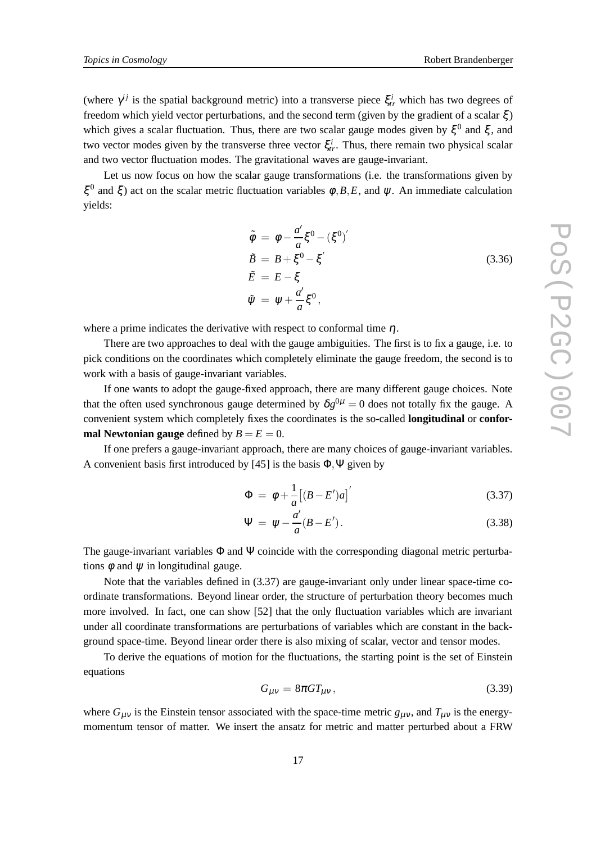(where  $\gamma^{ij}$  is the spatial background metric) into a transverse piece  $\xi_{tr}^i$  which has two degrees of freedom which yield vector perturbations, and the second term (given by the gradient of a scalar  $\xi$ ) which gives a scalar fluctuation. Thus, there are two scalar gauge modes given by  $\xi^0$  and  $\xi$ , and two vector modes given by the transverse three vector  $\xi_{tr}^{i}$ . Thus, there remain two physical scalar and two vector fluctuation modes. The gravitational waves are gauge-invariant.

Let us now focus on how the scalar gauge transformations (i.e. the transformations given by ξ<sup>0</sup> and ξ) act on the scalar metric fluctuation variables  $\phi$ ,*B*,*E*, and *ψ*. An immediate calculation yields:

$$
\tilde{\phi} = \phi - \frac{a'}{a} \xi^0 - (\xi^0)'
$$
\n
$$
\tilde{B} = B + \xi^0 - \xi'
$$
\n
$$
\tilde{E} = E - \xi
$$
\n
$$
\tilde{\psi} = \psi + \frac{a'}{a} \xi^0,
$$
\n(3.36)

where a prime indicates the derivative with respect to conformal time  $\eta$ .

There are two approaches to deal with the gauge ambiguities. The first is to fix a gauge, i.e. to pick conditions on the coordinates which completely eliminate the gauge freedom, the second is to work with a basis of gauge-invariant variables.

If one wants to adopt the gauge-fixed approach, there are many different gauge choices. Note that the often used synchronous gauge determined by  $\delta g^{0\mu} = 0$  does not totally fix the gauge. A convenient system which completely fixes the coordinates is the so-called **longitudinal** or **conformal Newtonian gauge** defined by  $B = E = 0$ .

If one prefers a gauge-invariant approach, there are many choices of gauge-invariant variables. A convenient basis first introduced by [45] is the basis  $\Phi$ ,  $\Psi$  given by

$$
\Phi = \phi + \frac{1}{a} \left[ (B - E')a \right]'
$$
\n(3.37)

$$
\Psi = \psi - \frac{a'}{a}(B - E'). \tag{3.38}
$$

The gauge-invariant variables  $\Phi$  and  $\Psi$  coincide with the corresponding diagonal metric perturbations  $\phi$  and  $\psi$  in longitudinal gauge.

Note that the variables defined in (3.37) are gauge-invariant only under linear space-time coordinate transformations. Beyond linear order, the structure of perturbation theory becomes much more involved. In fact, one can show [52] that the only fluctuation variables which are invariant under all coordinate transformations are perturbations of variables which are constant in the background space-time. Beyond linear order there is also mixing of scalar, vector and tensor modes.

To derive the equations of motion for the fluctuations, the starting point is the set of Einstein equations

$$
G_{\mu\nu} = 8\pi G T_{\mu\nu},\tag{3.39}
$$

where  $G_{\mu\nu}$  is the Einstein tensor associated with the space-time metric  $g_{\mu\nu}$ , and  $T_{\mu\nu}$  is the energymomentum tensor of matter. We insert the ansatz for metric and matter perturbed about a FRW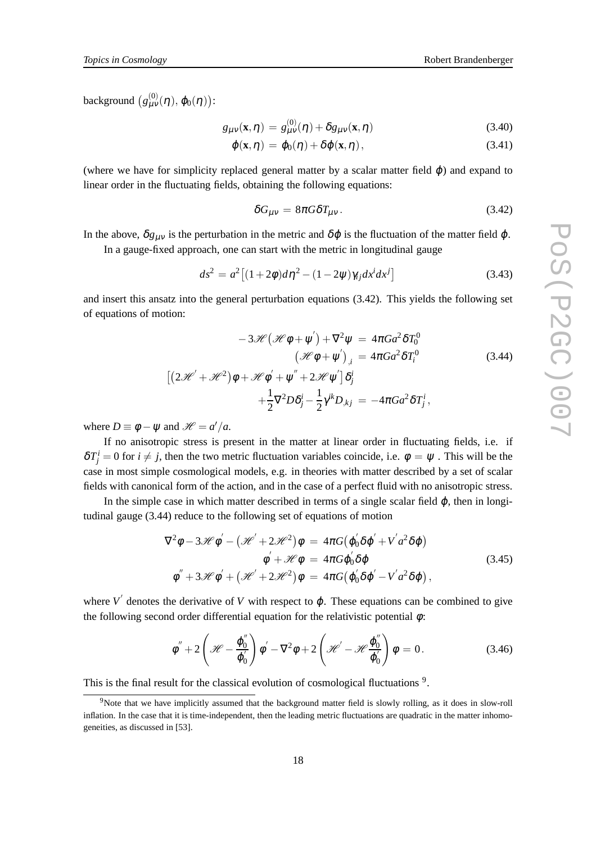background  $(g_{\mu\nu}^{(0)}(\eta), \varphi_0(\eta))$ :

$$
g_{\mu\nu}(\mathbf{x},\eta) = g_{\mu\nu}^{(0)}(\eta) + \delta g_{\mu\nu}(\mathbf{x},\eta)
$$
\n(3.40)

$$
\varphi(\mathbf{x},\eta) = \varphi_0(\eta) + \delta\varphi(\mathbf{x},\eta), \qquad (3.41)
$$

(where we have for simplicity replaced general matter by a scalar matter field  $\varphi$ ) and expand to linear order in the fluctuating fields, obtaining the following equations:

$$
\delta G_{\mu\nu} = 8\pi G \delta T_{\mu\nu}.
$$
\n(3.42)

In the above,  $\delta g_{\mu\nu}$  is the perturbation in the metric and  $\delta\varphi$  is the fluctuation of the matter field  $\varphi$ .

In a gauge-fixed approach, one can start with the metric in longitudinal gauge

$$
ds^{2} = a^{2} \left[ (1+2\phi)d\eta^{2} - (1-2\psi)\gamma_{ij}dx^{i}dx^{j} \right]
$$
 (3.43)

and insert this ansatz into the general perturbation equations (3.42). This yields the following set of equations of motion:

$$
-3\mathcal{H}(\mathcal{H}\phi + \psi') + \nabla^2 \psi = 4\pi G a^2 \delta T_0^0
$$
  

$$
(\mathcal{H}\phi + \psi')_{,i} = 4\pi G a^2 \delta T_i^0
$$
  

$$
[(2\mathcal{H}' + \mathcal{H}^2)\phi + \mathcal{H}\phi' + \psi'' + 2\mathcal{H}\psi']\delta_j^i
$$
  

$$
+\frac{1}{2}\nabla^2 D\delta_j^i - \frac{1}{2}\gamma^{ik}D_{,kj} = -4\pi G a^2 \delta T_j^i,
$$
 (3.44)

where  $D \equiv \phi - \psi$  and  $\mathcal{H} = a'/a$ .

If no anisotropic stress is present in the matter at linear order in fluctuating fields, i.e. if  $\delta T_j^i = 0$  for  $i \neq j$ , then the two metric fluctuation variables coincide, i.e.  $\phi = \psi$ . This will be the case in most simple cosmological models, e.g. in theories with matter described by a set of scalar fields with canonical form of the action, and in the case of a perfect fluid with no anisotropic stress.

In the simple case in which matter described in terms of a single scalar field  $\varphi$ , then in longitudinal gauge (3.44) reduce to the following set of equations of motion

$$
\nabla^2 \phi - 3\mathscr{H} \phi' - \left(\mathscr{H}' + 2\mathscr{H}^2\right) \phi = 4\pi G \left(\phi_0' \delta \phi' + V' a^2 \delta \phi\right)
$$
  

$$
\phi' + \mathscr{H} \phi = 4\pi G \phi_0' \delta \phi
$$
  

$$
\phi'' + 3\mathscr{H} \phi' + \left(\mathscr{H}' + 2\mathscr{H}^2\right) \phi = 4\pi G \left(\phi_0' \delta \phi' - V' a^2 \delta \phi\right),
$$
 (3.45)

where  $V'$  denotes the derivative of  $V$  with respect to  $\varphi$ . These equations can be combined to give the following second order differential equation for the relativistic potential  $\phi$ :

$$
\phi'' + 2\left(\mathcal{H} - \frac{\varphi_0''}{\varphi_0'}\right)\phi' - \nabla^2\phi + 2\left(\mathcal{H}' - \mathcal{H}\frac{\varphi_0''}{\varphi_0'}\right)\phi = 0.
$$
\n(3.46)

This is the final result for the classical evolution of cosmological fluctuations<sup>9</sup>.

<sup>&</sup>lt;sup>9</sup>Note that we have implicitly assumed that the background matter field is slowly rolling, as it does in slow-roll inflation. In the case that it is time-independent, then the leading metric fluctuations are quadratic in the matter inhomogeneities, as discussed in [53].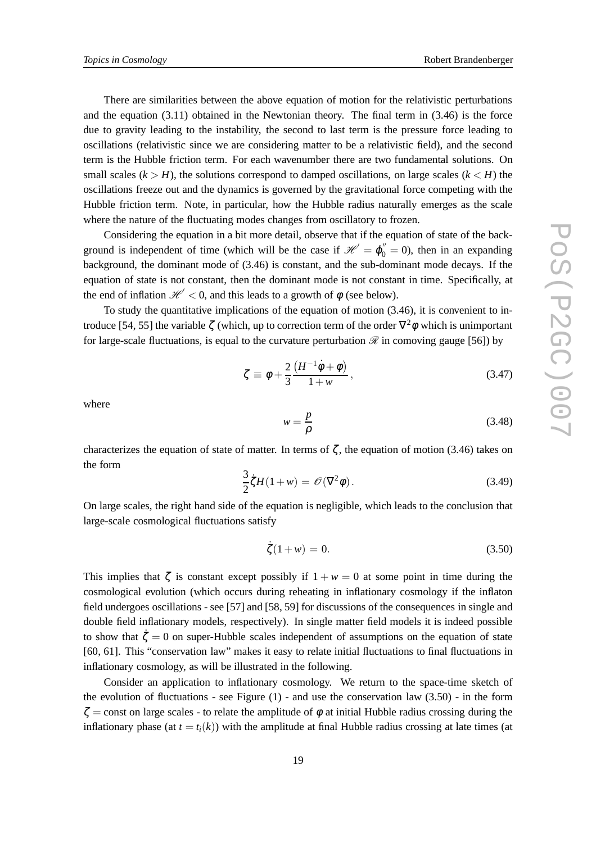There are similarities between the above equation of motion for the relativistic perturbations and the equation (3.11) obtained in the Newtonian theory. The final term in (3.46) is the force due to gravity leading to the instability, the second to last term is the pressure force leading to oscillations (relativistic since we are considering matter to be a relativistic field), and the second term is the Hubble friction term. For each wavenumber there are two fundamental solutions. On small scales  $(k > H)$ , the solutions correspond to damped oscillations, on large scales  $(k < H)$  the oscillations freeze out and the dynamics is governed by the gravitational force competing with the Hubble friction term. Note, in particular, how the Hubble radius naturally emerges as the scale where the nature of the fluctuating modes changes from oscillatory to frozen.

Considering the equation in a bit more detail, observe that if the equation of state of the background is independent of time (which will be the case if  $\mathcal{H}' = \varphi_0'' = 0$ ), then in an expanding background, the dominant mode of (3.46) is constant, and the sub-dominant mode decays. If the equation of state is not constant, then the dominant mode is not constant in time. Specifically, at the end of inflation  $\mathcal{H}'$  < 0, and this leads to a growth of  $\phi$  (see below).

To study the quantitative implications of the equation of motion (3.46), it is convenient to introduce [54, 55] the variable  $\zeta$  (which, up to correction term of the order  $\nabla^2 \phi$  which is unimportant for large-scale fluctuations, is equal to the curvature perturbation  $\mathscr R$  in comoving gauge [56]) by

$$
\zeta \equiv \phi + \frac{2}{3} \frac{\left(H^{-1} \dot{\phi} + \phi\right)}{1 + w},\tag{3.47}
$$

where

$$
w = \frac{p}{\rho} \tag{3.48}
$$

characterizes the equation of state of matter. In terms of  $\zeta$ , the equation of motion (3.46) takes on the form

$$
\frac{3}{2}\dot{\zeta}H(1+w) = \mathcal{O}(\nabla^2\phi). \tag{3.49}
$$

On large scales, the right hand side of the equation is negligible, which leads to the conclusion that large-scale cosmological fluctuations satisfy

$$
\dot{\zeta}(1+w) = 0. \tag{3.50}
$$

This implies that  $\zeta$  is constant except possibly if  $1 + w = 0$  at some point in time during the cosmological evolution (which occurs during reheating in inflationary cosmology if the inflaton field undergoes oscillations - see [57] and [58, 59] for discussions of the consequences in single and double field inflationary models, respectively). In single matter field models it is indeed possible to show that  $\zeta = 0$  on super-Hubble scales independent of assumptions on the equation of state [60, 61]. This "conservation law" makes it easy to relate initial fluctuations to final fluctuations in inflationary cosmology, as will be illustrated in the following.

Consider an application to inflationary cosmology. We return to the space-time sketch of the evolution of fluctuations - see Figure  $(1)$  - and use the conservation law  $(3.50)$  - in the form  $\zeta$  = const on large scales - to relate the amplitude of  $\phi$  at initial Hubble radius crossing during the inflationary phase (at  $t = t_i(k)$ ) with the amplitude at final Hubble radius crossing at late times (at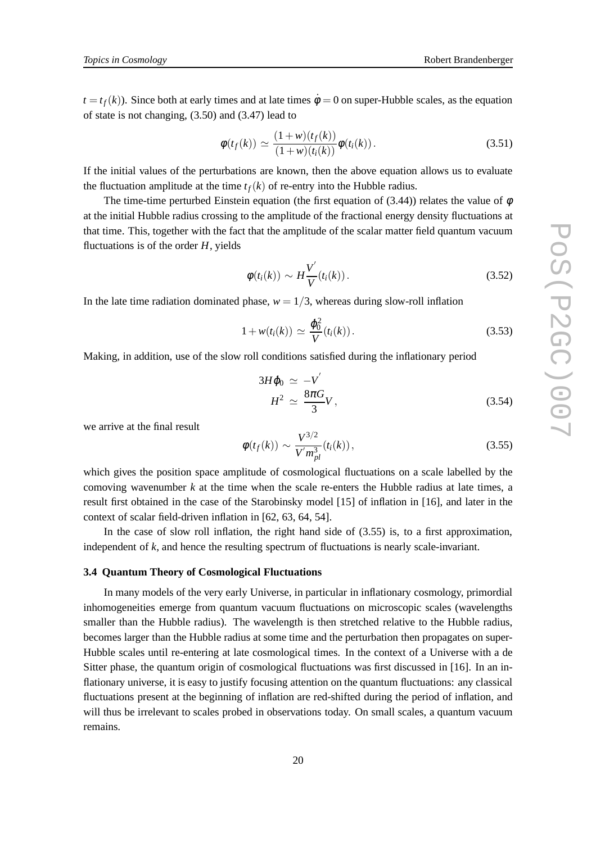$t = t<sub>f</sub>(k)$ ). Since both at early times and at late times  $\dot{\phi} = 0$  on super-Hubble scales, as the equation of state is not changing, (3.50) and (3.47) lead to

$$
\phi(t_f(k)) \simeq \frac{(1+w)(t_f(k))}{(1+w)(t_i(k))}\phi(t_i(k)).
$$
\n(3.51)

If the initial values of the perturbations are known, then the above equation allows us to evaluate the fluctuation amplitude at the time  $t_f(k)$  of re-entry into the Hubble radius.

The time-time perturbed Einstein equation (the first equation of (3.44)) relates the value of  $\phi$ at the initial Hubble radius crossing to the amplitude of the fractional energy density fluctuations at that time. This, together with the fact that the amplitude of the scalar matter field quantum vacuum fluctuations is of the order *H*, yields

$$
\phi(t_i(k)) \sim H\frac{V'}{V}(t_i(k)).
$$
\n(3.52)

In the late time radiation dominated phase,  $w = 1/3$ , whereas during slow-roll inflation

$$
1 + w(t_i(k)) \simeq \frac{\dot{\varphi}_0^2}{V}(t_i(k)).
$$
\n(3.53)

Making, in addition, use of the slow roll conditions satisfied during the inflationary period

$$
3H\dot{\varphi}_0 \simeq -V'
$$
  

$$
H^2 \simeq \frac{8\pi G}{3}V,
$$
 (3.54)

we arrive at the final result

$$
\phi(t_f(k)) \sim \frac{V^{3/2}}{V' m_{pl}^3}(t_i(k)),
$$
\n(3.55)

which gives the position space amplitude of cosmological fluctuations on a scale labelled by the comoving wavenumber *k* at the time when the scale re-enters the Hubble radius at late times, a result first obtained in the case of the Starobinsky model [15] of inflation in [16], and later in the context of scalar field-driven inflation in [62, 63, 64, 54].

In the case of slow roll inflation, the right hand side of (3.55) is, to a first approximation, independent of *k*, and hence the resulting spectrum of fluctuations is nearly scale-invariant.

#### **3.4 Quantum Theory of Cosmological Fluctuations**

In many models of the very early Universe, in particular in inflationary cosmology, primordial inhomogeneities emerge from quantum vacuum fluctuations on microscopic scales (wavelengths smaller than the Hubble radius). The wavelength is then stretched relative to the Hubble radius, becomes larger than the Hubble radius at some time and the perturbation then propagates on super-Hubble scales until re-entering at late cosmological times. In the context of a Universe with a de Sitter phase, the quantum origin of cosmological fluctuations was first discussed in [16]. In an inflationary universe, it is easy to justify focusing attention on the quantum fluctuations: any classical fluctuations present at the beginning of inflation are red-shifted during the period of inflation, and will thus be irrelevant to scales probed in observations today. On small scales, a quantum vacuum remains.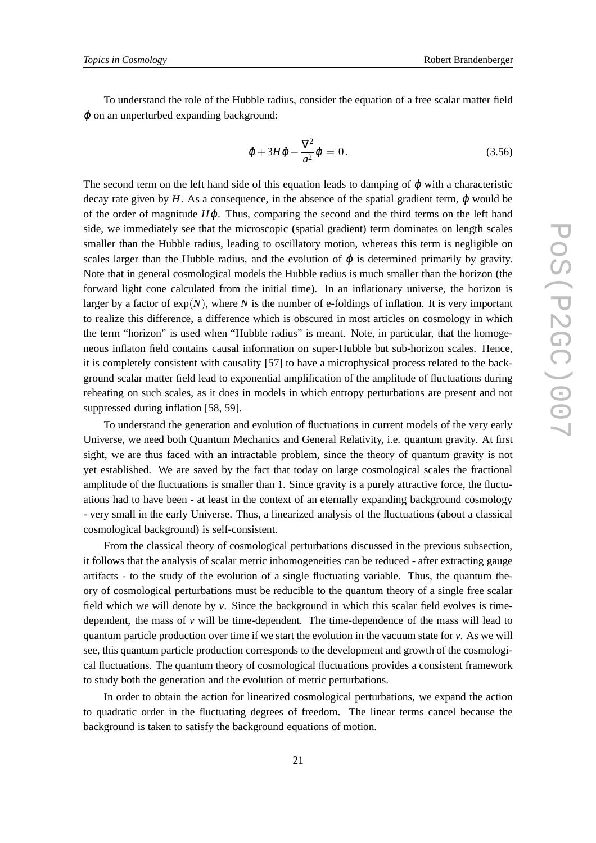To understand the role of the Hubble radius, consider the equation of a free scalar matter field  $\varphi$  on an unperturbed expanding background:

$$
\ddot{\varphi} + 3H\dot{\varphi} - \frac{\nabla^2}{a^2}\varphi = 0.
$$
\n(3.56)

The second term on the left hand side of this equation leads to damping of  $\omega$  with a characteristic decay rate given by  $H$ . As a consequence, in the absence of the spatial gradient term,  $\dot{\phi}$  would be of the order of magnitude *H* $\phi$ . Thus, comparing the second and the third terms on the left hand side, we immediately see that the microscopic (spatial gradient) term dominates on length scales smaller than the Hubble radius, leading to oscillatory motion, whereas this term is negligible on scales larger than the Hubble radius, and the evolution of  $\varphi$  is determined primarily by gravity. Note that in general cosmological models the Hubble radius is much smaller than the horizon (the forward light cone calculated from the initial time). In an inflationary universe, the horizon is larger by a factor of  $exp(N)$ , where *N* is the number of e-foldings of inflation. It is very important to realize this difference, a difference which is obscured in most articles on cosmology in which the term "horizon" is used when "Hubble radius" is meant. Note, in particular, that the homogeneous inflaton field contains causal information on super-Hubble but sub-horizon scales. Hence, it is completely consistent with causality [57] to have a microphysical process related to the background scalar matter field lead to exponential amplification of the amplitude of fluctuations during reheating on such scales, as it does in models in which entropy perturbations are present and not suppressed during inflation [58, 59].

To understand the generation and evolution of fluctuations in current models of the very early Universe, we need both Quantum Mechanics and General Relativity, i.e. quantum gravity. At first sight, we are thus faced with an intractable problem, since the theory of quantum gravity is not yet established. We are saved by the fact that today on large cosmological scales the fractional amplitude of the fluctuations is smaller than 1. Since gravity is a purely attractive force, the fluctuations had to have been - at least in the context of an eternally expanding background cosmology - very small in the early Universe. Thus, a linearized analysis of the fluctuations (about a classical cosmological background) is self-consistent.

From the classical theory of cosmological perturbations discussed in the previous subsection, it follows that the analysis of scalar metric inhomogeneities can be reduced - after extracting gauge artifacts - to the study of the evolution of a single fluctuating variable. Thus, the quantum theory of cosmological perturbations must be reducible to the quantum theory of a single free scalar field which we will denote by *v*. Since the background in which this scalar field evolves is timedependent, the mass of  $\nu$  will be time-dependent. The time-dependence of the mass will lead to quantum particle production over time if we start the evolution in the vacuum state for *v*. As we will see, this quantum particle production corresponds to the development and growth of the cosmological fluctuations. The quantum theory of cosmological fluctuations provides a consistent framework to study both the generation and the evolution of metric perturbations.

In order to obtain the action for linearized cosmological perturbations, we expand the action to quadratic order in the fluctuating degrees of freedom. The linear terms cancel because the background is taken to satisfy the background equations of motion.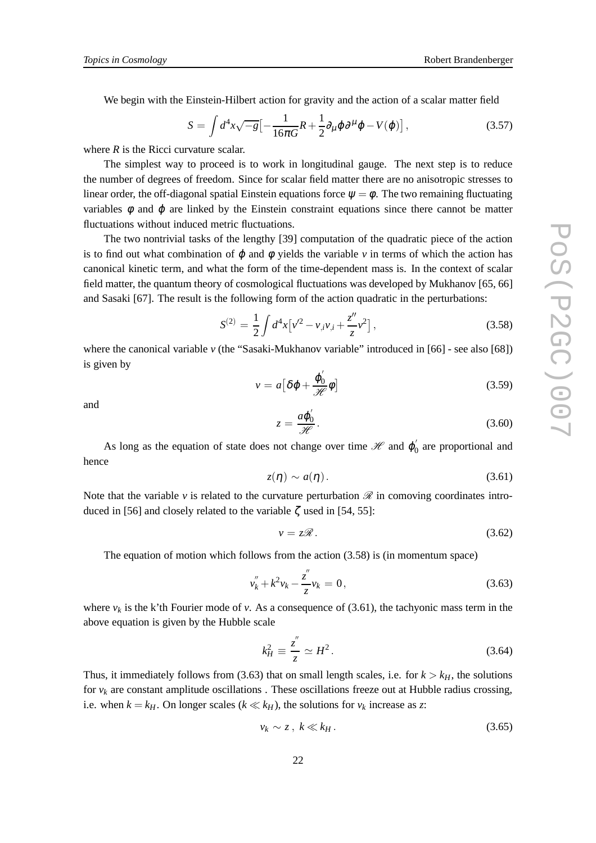We begin with the Einstein-Hilbert action for gravity and the action of a scalar matter field

$$
S = \int d^4x \sqrt{-g} \left[ -\frac{1}{16\pi G} R + \frac{1}{2} \partial_\mu \varphi \partial^\mu \varphi - V(\varphi) \right],
$$
 (3.57)

where *R* is the Ricci curvature scalar.

The simplest way to proceed is to work in longitudinal gauge. The next step is to reduce the number of degrees of freedom. Since for scalar field matter there are no anisotropic stresses to linear order, the off-diagonal spatial Einstein equations force  $\psi = \phi$ . The two remaining fluctuating variables  $\phi$  and  $\phi$  are linked by the Einstein constraint equations since there cannot be matter fluctuations without induced metric fluctuations.

The two nontrivial tasks of the lengthy [39] computation of the quadratic piece of the action is to find out what combination of  $\varphi$  and  $\varphi$  yields the variable  $\nu$  in terms of which the action has canonical kinetic term, and what the form of the time-dependent mass is. In the context of scalar field matter, the quantum theory of cosmological fluctuations was developed by Mukhanov [65, 66] and Sasaki [67]. The result is the following form of the action quadratic in the perturbations:

$$
S^{(2)} = \frac{1}{2} \int d^4x \left[ v'^2 - v_{,i} v_{,i} + \frac{z''}{z} v^2 \right],
$$
 (3.58)

where the canonical variable *v* (the "Sasaki-Mukhanov variable" introduced in [66] - see also [68]) is given by

$$
v = a \left[ \delta \varphi + \frac{\varphi_0'}{\mathcal{H}} \phi \right]
$$
 (3.59)

and

$$
z = \frac{a\phi_0'}{\mathcal{H}}.\tag{3.60}
$$

As long as the equation of state does not change over time  $\mathcal H$  and  $\varphi_0'$  are proportional and hence

$$
z(\eta) \sim a(\eta). \tag{3.61}
$$

Note that the variable  $\nu$  is related to the curvature perturbation  $\mathscr R$  in comoving coordinates introduced in [56] and closely related to the variable  $\zeta$  used in [54, 55]:

$$
v = z\mathscr{R}.\tag{3.62}
$$

The equation of motion which follows from the action (3.58) is (in momentum space)

$$
v_k'' + k^2 v_k - \frac{z''}{z} v_k = 0, \qquad (3.63)
$$

where  $v_k$  is the k'th Fourier mode of *v*. As a consequence of (3.61), the tachyonic mass term in the above equation is given by the Hubble scale

$$
k_H^2 \equiv \frac{z''}{z} \simeq H^2. \tag{3.64}
$$

Thus, it immediately follows from (3.63) that on small length scales, i.e. for  $k > k<sub>H</sub>$ , the solutions for  $v_k$  are constant amplitude oscillations . These oscillations freeze out at Hubble radius crossing, i.e. when  $k = k_H$ . On longer scales ( $k \ll k_H$ ), the solutions for  $v_k$  increase as *z*:

$$
v_k \sim z, \ k \ll k_H. \tag{3.65}
$$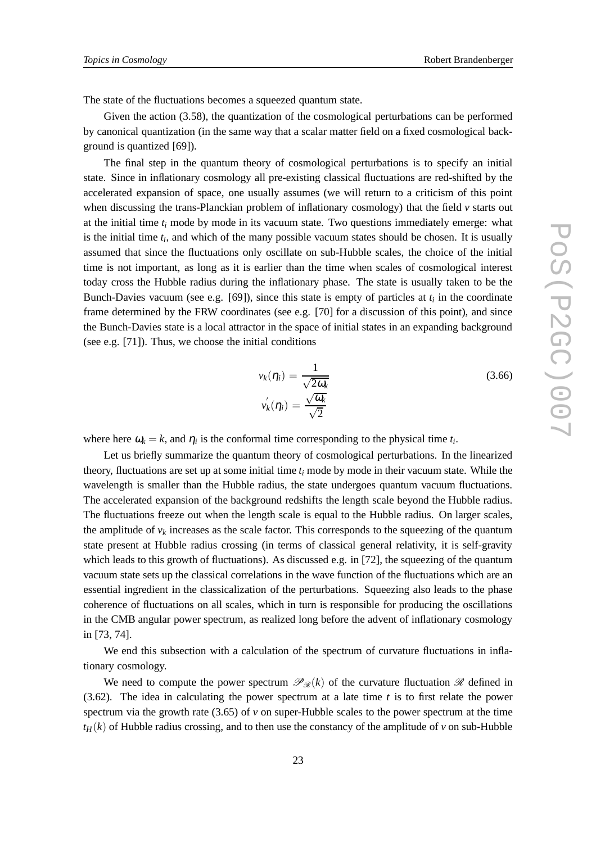The state of the fluctuations becomes a squeezed quantum state.

Given the action (3.58), the quantization of the cosmological perturbations can be performed by canonical quantization (in the same way that a scalar matter field on a fixed cosmological background is quantized [69]).

The final step in the quantum theory of cosmological perturbations is to specify an initial state. Since in inflationary cosmology all pre-existing classical fluctuations are red-shifted by the accelerated expansion of space, one usually assumes (we will return to a criticism of this point when discussing the trans-Planckian problem of inflationary cosmology) that the field *v* starts out at the initial time *t<sup>i</sup>* mode by mode in its vacuum state. Two questions immediately emerge: what is the initial time *t<sup>i</sup>* , and which of the many possible vacuum states should be chosen. It is usually assumed that since the fluctuations only oscillate on sub-Hubble scales, the choice of the initial time is not important, as long as it is earlier than the time when scales of cosmological interest today cross the Hubble radius during the inflationary phase. The state is usually taken to be the Bunch-Davies vacuum (see e.g. [69]), since this state is empty of particles at *t<sup>i</sup>* in the coordinate frame determined by the FRW coordinates (see e.g. [70] for a discussion of this point), and since the Bunch-Davies state is a local attractor in the space of initial states in an expanding background (see e.g. [71]). Thus, we choose the initial conditions

$$
v_k(\eta_i) = \frac{1}{\sqrt{2\omega_k}}
$$
  
\n
$$
v'_k(\eta_i) = \frac{\sqrt{\omega_k}}{\sqrt{2}}
$$
\n(3.66)

where here  $\omega_k = k$ , and  $\eta_i$  is the conformal time corresponding to the physical time  $t_i$ .

Let us briefly summarize the quantum theory of cosmological perturbations. In the linearized theory, fluctuations are set up at some initial time *t<sup>i</sup>* mode by mode in their vacuum state. While the wavelength is smaller than the Hubble radius, the state undergoes quantum vacuum fluctuations. The accelerated expansion of the background redshifts the length scale beyond the Hubble radius. The fluctuations freeze out when the length scale is equal to the Hubble radius. On larger scales, the amplitude of  $v_k$  increases as the scale factor. This corresponds to the squeezing of the quantum state present at Hubble radius crossing (in terms of classical general relativity, it is self-gravity which leads to this growth of fluctuations). As discussed e.g. in [72], the squeezing of the quantum vacuum state sets up the classical correlations in the wave function of the fluctuations which are an essential ingredient in the classicalization of the perturbations. Squeezing also leads to the phase coherence of fluctuations on all scales, which in turn is responsible for producing the oscillations in the CMB angular power spectrum, as realized long before the advent of inflationary cosmology in [73, 74].

We end this subsection with a calculation of the spectrum of curvature fluctuations in inflationary cosmology.

We need to compute the power spectrum  $\mathcal{P}_{\mathcal{R}}(k)$  of the curvature fluctuation  $\mathcal{R}$  defined in (3.62). The idea in calculating the power spectrum at a late time *t* is to first relate the power spectrum via the growth rate  $(3.65)$  of  $\nu$  on super-Hubble scales to the power spectrum at the time  $t_H(k)$  of Hubble radius crossing, and to then use the constancy of the amplitude of *v* on sub-Hubble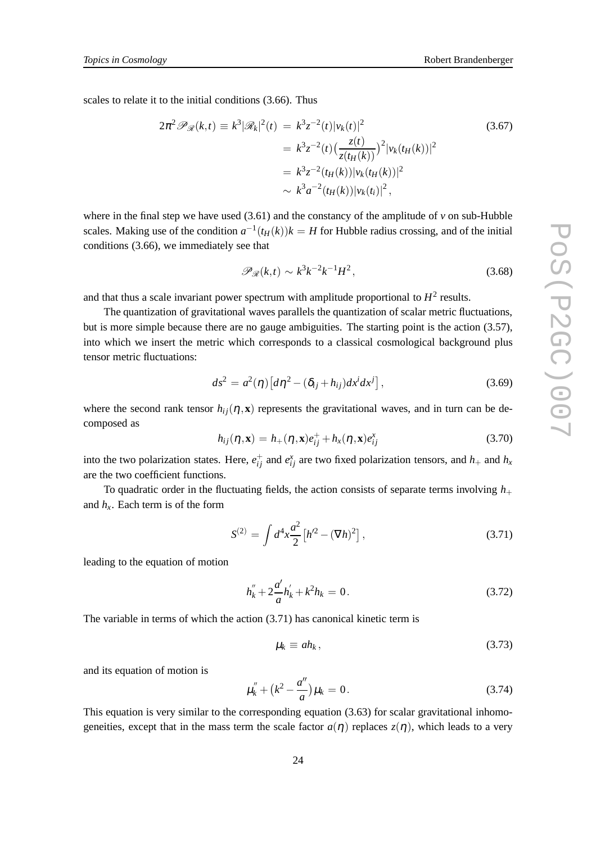scales to relate it to the initial conditions (3.66). Thus

$$
2\pi^{2} \mathscr{P}_{\mathscr{R}}(k,t) \equiv k^{3} |\mathscr{R}_{k}|^{2}(t) = k^{3} z^{-2}(t) |v_{k}(t)|^{2}
$$
\n
$$
= k^{3} z^{-2}(t) \left(\frac{z(t)}{z(t_{H}(k))}\right)^{2} |v_{k}(t_{H}(k))|^{2}
$$
\n
$$
= k^{3} z^{-2}(t_{H}(k)) |v_{k}(t_{H}(k))|^{2}
$$
\n
$$
\sim k^{3} a^{-2}(t_{H}(k)) |v_{k}(t_{i})|^{2},
$$
\n(3.67)

where in the final step we have used  $(3.61)$  and the constancy of the amplitude of  $\nu$  on sub-Hubble scales. Making use of the condition  $a^{-1}(t_H(k))k = H$  for Hubble radius crossing, and of the initial conditions (3.66), we immediately see that

$$
\mathscr{P}_{\mathscr{R}}(k,t) \sim k^3 k^{-2} k^{-1} H^2,\tag{3.68}
$$

and that thus a scale invariant power spectrum with amplitude proportional to  $H^2$  results.

The quantization of gravitational waves parallels the quantization of scalar metric fluctuations, but is more simple because there are no gauge ambiguities. The starting point is the action (3.57), into which we insert the metric which corresponds to a classical cosmological background plus tensor metric fluctuations:

$$
ds^2 = a^2(\eta) \left[ d\eta^2 - (\delta_{ij} + h_{ij}) dx^i dx^j \right],
$$
\n(3.69)

where the second rank tensor  $h_{ij}(\eta, \mathbf{x})$  represents the gravitational waves, and in turn can be decomposed as

$$
h_{ij}(\boldsymbol{\eta}, \mathbf{x}) = h_{+}(\boldsymbol{\eta}, \mathbf{x}) e_{ij}^{+} + h_{x}(\boldsymbol{\eta}, \mathbf{x}) e_{ij}^{x}
$$
\n(3.70)

into the two polarization states. Here,  $e_{ij}^+$  and  $e_{ij}^x$  are two fixed polarization tensors, and  $h_+$  and  $h_x$ are the two coefficient functions.

To quadratic order in the fluctuating fields, the action consists of separate terms involving  $h_{+}$ and  $h_x$ . Each term is of the form

$$
S^{(2)} = \int d^4x \frac{a^2}{2} \left[ h'^2 - (\nabla h)^2 \right],\tag{3.71}
$$

leading to the equation of motion

$$
h_k'' + 2\frac{a'}{a}h_k' + k^2h_k = 0.
$$
\n(3.72)

The variable in terms of which the action (3.71) has canonical kinetic term is

$$
\mu_k \equiv ah_k, \tag{3.73}
$$

and its equation of motion is

$$
\mu_k'' + (k^2 - \frac{a''}{a})\mu_k = 0.
$$
\n(3.74)

This equation is very similar to the corresponding equation  $(3.63)$  for scalar gravitational inhomogeneities, except that in the mass term the scale factor  $a(\eta)$  replaces  $z(\eta)$ , which leads to a very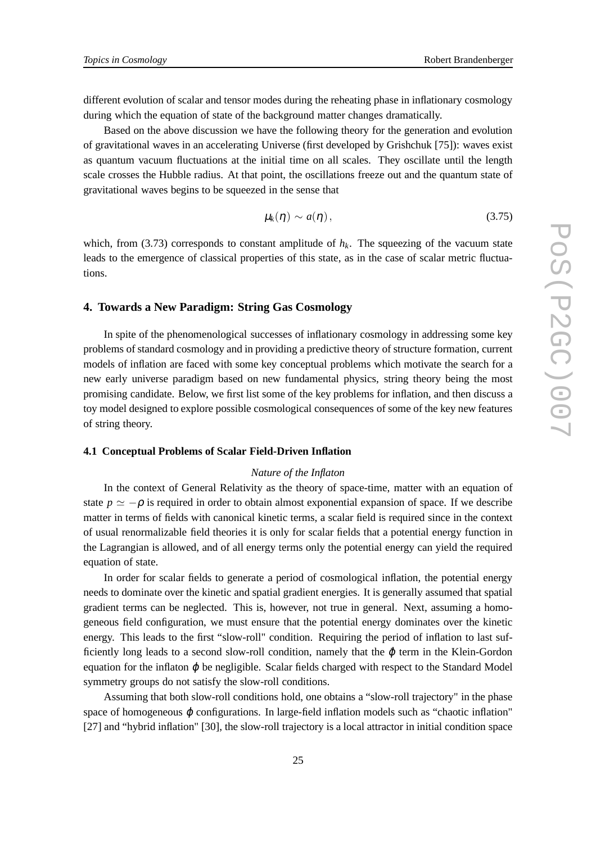different evolution of scalar and tensor modes during the reheating phase in inflationary cosmology during which the equation of state of the background matter changes dramatically.

Based on the above discussion we have the following theory for the generation and evolution of gravitational waves in an accelerating Universe (first developed by Grishchuk [75]): waves exist as quantum vacuum fluctuations at the initial time on all scales. They oscillate until the length scale crosses the Hubble radius. At that point, the oscillations freeze out and the quantum state of gravitational waves begins to be squeezed in the sense that

$$
\mu_k(\eta) \sim a(\eta), \qquad (3.75)
$$

which, from (3.73) corresponds to constant amplitude of  $h_k$ . The squeezing of the vacuum state leads to the emergence of classical properties of this state, as in the case of scalar metric fluctuations.

# **4. Towards a New Paradigm: String Gas Cosmology**

In spite of the phenomenological successes of inflationary cosmology in addressing some key problems of standard cosmology and in providing a predictive theory of structure formation, current models of inflation are faced with some key conceptual problems which motivate the search for a new early universe paradigm based on new fundamental physics, string theory being the most promising candidate. Below, we first list some of the key problems for inflation, and then discuss a toy model designed to explore possible cosmological consequences of some of the key new features of string theory.

#### **4.1 Conceptual Problems of Scalar Field-Driven Inflation**

## *Nature of the Inflaton*

In the context of General Relativity as the theory of space-time, matter with an equation of state  $p \simeq -\rho$  is required in order to obtain almost exponential expansion of space. If we describe matter in terms of fields with canonical kinetic terms, a scalar field is required since in the context of usual renormalizable field theories it is only for scalar fields that a potential energy function in the Lagrangian is allowed, and of all energy terms only the potential energy can yield the required equation of state.

In order for scalar fields to generate a period of cosmological inflation, the potential energy needs to dominate over the kinetic and spatial gradient energies. It is generally assumed that spatial gradient terms can be neglected. This is, however, not true in general. Next, assuming a homogeneous field configuration, we must ensure that the potential energy dominates over the kinetic energy. This leads to the first "slow-roll" condition. Requiring the period of inflation to last sufficiently long leads to a second slow-roll condition, namely that the  $\ddot{\phi}$  term in the Klein-Gordon equation for the inflaton  $\varphi$  be negligible. Scalar fields charged with respect to the Standard Model symmetry groups do not satisfy the slow-roll conditions.

Assuming that both slow-roll conditions hold, one obtains a "slow-roll trajectory" in the phase space of homogeneous  $\varphi$  configurations. In large-field inflation models such as "chaotic inflation" [27] and "hybrid inflation" [30], the slow-roll trajectory is a local attractor in initial condition space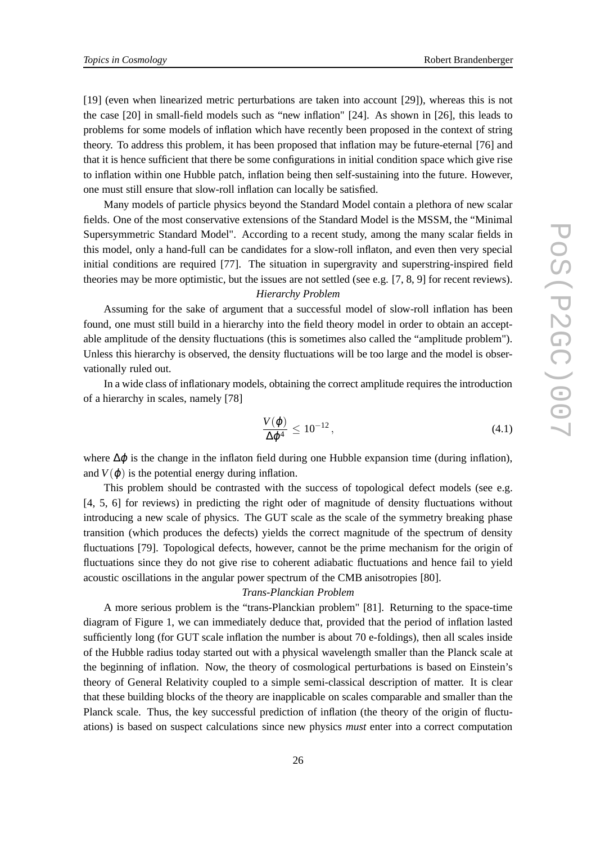[19] (even when linearized metric perturbations are taken into account [29]), whereas this is not the case [20] in small-field models such as "new inflation" [24]. As shown in [26], this leads to problems for some models of inflation which have recently been proposed in the context of string theory. To address this problem, it has been proposed that inflation may be future-eternal [76] and that it is hence sufficient that there be some configurations in initial condition space which give rise to inflation within one Hubble patch, inflation being then self-sustaining into the future. However, one must still ensure that slow-roll inflation can locally be satisfied.

Many models of particle physics beyond the Standard Model contain a plethora of new scalar fields. One of the most conservative extensions of the Standard Model is the MSSM, the "Minimal Supersymmetric Standard Model". According to a recent study, among the many scalar fields in this model, only a hand-full can be candidates for a slow-roll inflaton, and even then very special initial conditions are required [77]. The situation in supergravity and superstring-inspired field theories may be more optimistic, but the issues are not settled (see e.g. [7, 8, 9] for recent reviews).

# *Hierarchy Problem*

Assuming for the sake of argument that a successful model of slow-roll inflation has been found, one must still build in a hierarchy into the field theory model in order to obtain an acceptable amplitude of the density fluctuations (this is sometimes also called the "amplitude problem"). Unless this hierarchy is observed, the density fluctuations will be too large and the model is observationally ruled out.

In a wide class of inflationary models, obtaining the correct amplitude requires the introduction of a hierarchy in scales, namely [78]

$$
\frac{V(\varphi)}{\Delta \varphi^4} \le 10^{-12},\tag{4.1}
$$

where  $\Delta\varphi$  is the change in the inflaton field during one Hubble expansion time (during inflation), and  $V(\varphi)$  is the potential energy during inflation.

This problem should be contrasted with the success of topological defect models (see e.g. [4, 5, 6] for reviews) in predicting the right oder of magnitude of density fluctuations without introducing a new scale of physics. The GUT scale as the scale of the symmetry breaking phase transition (which produces the defects) yields the correct magnitude of the spectrum of density fluctuations [79]. Topological defects, however, cannot be the prime mechanism for the origin of fluctuations since they do not give rise to coherent adiabatic fluctuations and hence fail to yield acoustic oscillations in the angular power spectrum of the CMB anisotropies [80].

#### *Trans-Planckian Problem*

A more serious problem is the "trans-Planckian problem" [81]. Returning to the space-time diagram of Figure 1, we can immediately deduce that, provided that the period of inflation lasted sufficiently long (for GUT scale inflation the number is about 70 e-foldings), then all scales inside of the Hubble radius today started out with a physical wavelength smaller than the Planck scale at the beginning of inflation. Now, the theory of cosmological perturbations is based on Einstein's theory of General Relativity coupled to a simple semi-classical description of matter. It is clear that these building blocks of the theory are inapplicable on scales comparable and smaller than the Planck scale. Thus, the key successful prediction of inflation (the theory of the origin of fluctuations) is based on suspect calculations since new physics *must* enter into a correct computation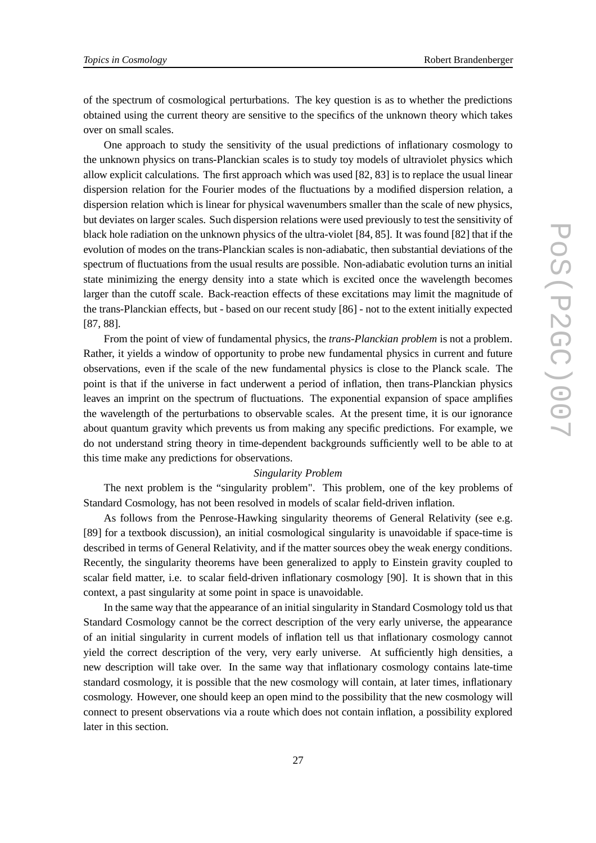of the spectrum of cosmological perturbations. The key question is as to whether the predictions obtained using the current theory are sensitive to the specifics of the unknown theory which takes over on small scales.

One approach to study the sensitivity of the usual predictions of inflationary cosmology to the unknown physics on trans-Planckian scales is to study toy models of ultraviolet physics which allow explicit calculations. The first approach which was used [82, 83] is to replace the usual linear dispersion relation for the Fourier modes of the fluctuations by a modified dispersion relation, a dispersion relation which is linear for physical wavenumbers smaller than the scale of new physics, but deviates on larger scales. Such dispersion relations were used previously to test the sensitivity of black hole radiation on the unknown physics of the ultra-violet [84, 85]. It was found [82] that if the evolution of modes on the trans-Planckian scales is non-adiabatic, then substantial deviations of the spectrum of fluctuations from the usual results are possible. Non-adiabatic evolution turns an initial state minimizing the energy density into a state which is excited once the wavelength becomes larger than the cutoff scale. Back-reaction effects of these excitations may limit the magnitude of the trans-Planckian effects, but - based on our recent study [86] - not to the extent initially expected [87, 88].

From the point of view of fundamental physics, the *trans-Planckian problem* is not a problem. Rather, it yields a window of opportunity to probe new fundamental physics in current and future observations, even if the scale of the new fundamental physics is close to the Planck scale. The point is that if the universe in fact underwent a period of inflation, then trans-Planckian physics leaves an imprint on the spectrum of fluctuations. The exponential expansion of space amplifies the wavelength of the perturbations to observable scales. At the present time, it is our ignorance about quantum gravity which prevents us from making any specific predictions. For example, we do not understand string theory in time-dependent backgrounds sufficiently well to be able to at this time make any predictions for observations.

#### *Singularity Problem*

The next problem is the "singularity problem". This problem, one of the key problems of Standard Cosmology, has not been resolved in models of scalar field-driven inflation.

As follows from the Penrose-Hawking singularity theorems of General Relativity (see e.g. [89] for a textbook discussion), an initial cosmological singularity is unavoidable if space-time is described in terms of General Relativity, and if the matter sources obey the weak energy conditions. Recently, the singularity theorems have been generalized to apply to Einstein gravity coupled to scalar field matter, i.e. to scalar field-driven inflationary cosmology [90]. It is shown that in this context, a past singularity at some point in space is unavoidable.

In the same way that the appearance of an initial singularity in Standard Cosmology told us that Standard Cosmology cannot be the correct description of the very early universe, the appearance of an initial singularity in current models of inflation tell us that inflationary cosmology cannot yield the correct description of the very, very early universe. At sufficiently high densities, a new description will take over. In the same way that inflationary cosmology contains late-time standard cosmology, it is possible that the new cosmology will contain, at later times, inflationary cosmology. However, one should keep an open mind to the possibility that the new cosmology will connect to present observations via a route which does not contain inflation, a possibility explored later in this section.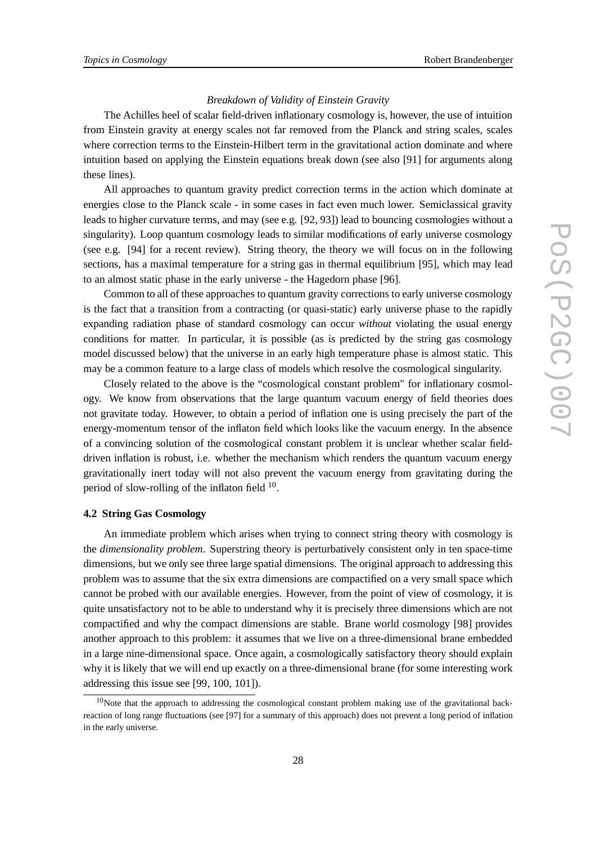#### *Breakdown of Validity of Einstein Gravity*

The Achilles heel of scalar field-driven inflationary cosmology is, however, the use of intuition from Einstein gravity at energy scales not far removed from the Planck and string scales, scales where correction terms to the Einstein-Hilbert term in the gravitational action dominate and where intuition based on applying the Einstein equations break down (see also [91] for arguments along these lines).

All approaches to quantum gravity predict correction terms in the action which dominate at energies close to the Planck scale - in some cases in fact even much lower. Semiclassical gravity leads to higher curvature terms, and may (see e.g. [92, 93]) lead to bouncing cosmologies without a singularity). Loop quantum cosmology leads to similar modifications of early universe cosmology (see e.g. [94] for a recent review). String theory, the theory we will focus on in the following sections, has a maximal temperature for a string gas in thermal equilibrium [95], which may lead to an almost static phase in the early universe - the Hagedorn phase [96].

Common to all of these approaches to quantum gravity corrections to early universe cosmology is the fact that a transition from a contracting (or quasi-static) early universe phase to the rapidly expanding radiation phase of standard cosmology can occur *without* violating the usual energy conditions for matter. In particular, it is possible (as is predicted by the string gas cosmology model discussed below) that the universe in an early high temperature phase is almost static. This may be a common feature to a large class of models which resolve the cosmological singularity.

Closely related to the above is the "cosmological constant problem" for inflationary cosmology. We know from observations that the large quantum vacuum energy of field theories does not gravitate today. However, to obtain a period of inflation one is using precisely the part of the energy-momentum tensor of the inflaton field which looks like the vacuum energy. In the absence of a convincing solution of the cosmological constant problem it is unclear whether scalar fielddriven inflation is robust, i.e. whether the mechanism which renders the quantum vacuum energy gravitationally inert today will not also prevent the vacuum energy from gravitating during the period of slow-rolling of the inflaton field  $10$ .

#### **4.2 String Gas Cosmology**

An immediate problem which arises when trying to connect string theory with cosmology is the *dimensionality problem*. Superstring theory is perturbatively consistent only in ten space-time dimensions, but we only see three large spatial dimensions. The original approach to addressing this problem was to assume that the six extra dimensions are compactified on a very small space which cannot be probed with our available energies. However, from the point of view of cosmology, it is quite unsatisfactory not to be able to understand why it is precisely three dimensions which are not compactified and why the compact dimensions are stable. Brane world cosmology [98] provides another approach to this problem: it assumes that we live on a three-dimensional brane embedded in a large nine-dimensional space. Once again, a cosmologically satisfactory theory should explain why it is likely that we will end up exactly on a three-dimensional brane (for some interesting work addressing this issue see [99, 100, 101]).

 $10$ Note that the approach to addressing the cosmological constant problem making use of the gravitational backreaction of long range fluctuations (see [97] for a summary of this approach) does not prevent a long period of inflation in the early universe.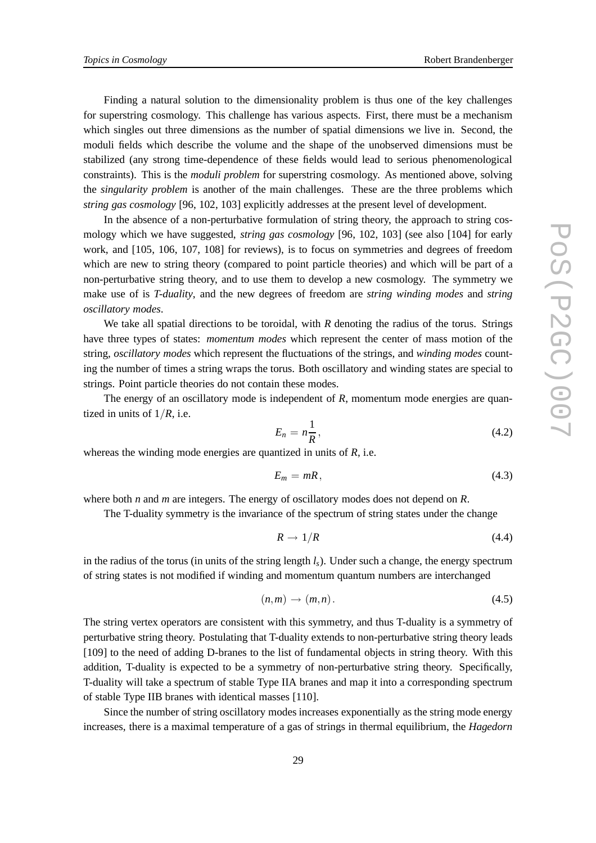Finding a natural solution to the dimensionality problem is thus one of the key challenges for superstring cosmology. This challenge has various aspects. First, there must be a mechanism which singles out three dimensions as the number of spatial dimensions we live in. Second, the moduli fields which describe the volume and the shape of the unobserved dimensions must be stabilized (any strong time-dependence of these fields would lead to serious phenomenological constraints). This is the *moduli problem* for superstring cosmology. As mentioned above, solving the *singularity problem* is another of the main challenges. These are the three problems which *string gas cosmology* [96, 102, 103] explicitly addresses at the present level of development.

In the absence of a non-perturbative formulation of string theory, the approach to string cosmology which we have suggested, *string gas cosmology* [96, 102, 103] (see also [104] for early work, and [105, 106, 107, 108] for reviews), is to focus on symmetries and degrees of freedom which are new to string theory (compared to point particle theories) and which will be part of a non-perturbative string theory, and to use them to develop a new cosmology. The symmetry we make use of is *T-duality*, and the new degrees of freedom are *string winding modes* and *string oscillatory modes*.

We take all spatial directions to be toroidal, with *R* denoting the radius of the torus. Strings have three types of states: *momentum modes* which represent the center of mass motion of the string, *oscillatory modes* which represent the fluctuations of the strings, and *winding modes* counting the number of times a string wraps the torus. Both oscillatory and winding states are special to strings. Point particle theories do not contain these modes.

The energy of an oscillatory mode is independent of *R*, momentum mode energies are quantized in units of  $1/R$ , i.e.

$$
E_n = n \frac{1}{R},\tag{4.2}
$$

whereas the winding mode energies are quantized in units of *R*, i.e.

$$
E_m = mR, \t\t(4.3)
$$

where both *n* and *m* are integers. The energy of oscillatory modes does not depend on *R*.

The T-duality symmetry is the invariance of the spectrum of string states under the change

$$
R \to 1/R \tag{4.4}
$$

in the radius of the torus (in units of the string length  $l_s$ ). Under such a change, the energy spectrum of string states is not modified if winding and momentum quantum numbers are interchanged

$$
(n,m)\to (m,n). \tag{4.5}
$$

The string vertex operators are consistent with this symmetry, and thus T-duality is a symmetry of perturbative string theory. Postulating that T-duality extends to non-perturbative string theory leads [109] to the need of adding D-branes to the list of fundamental objects in string theory. With this addition, T-duality is expected to be a symmetry of non-perturbative string theory. Specifically, T-duality will take a spectrum of stable Type IIA branes and map it into a corresponding spectrum of stable Type IIB branes with identical masses [110].

Since the number of string oscillatory modes increases exponentially as the string mode energy increases, there is a maximal temperature of a gas of strings in thermal equilibrium, the *Hagedorn*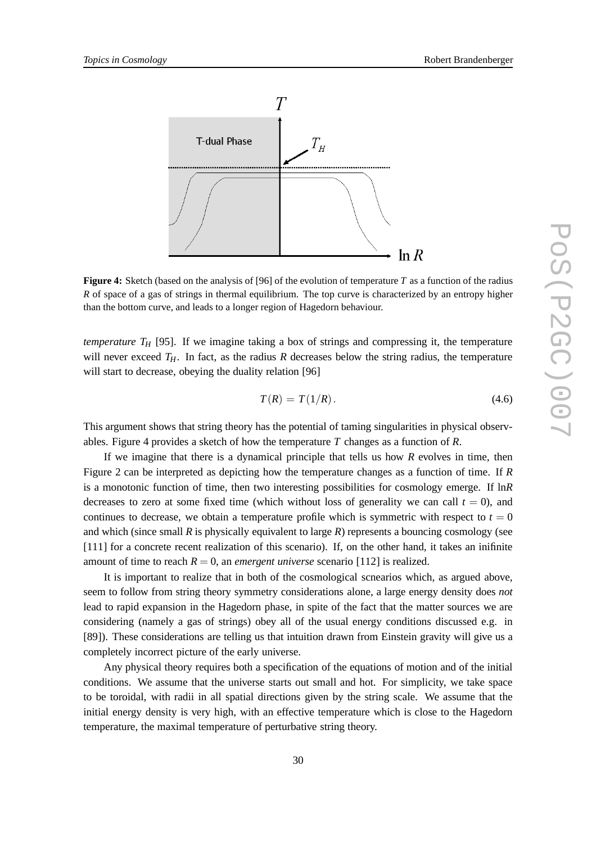

**Figure 4:** Sketch (based on the analysis of [96] of the evolution of temperature *T* as a function of the radius *R* of space of a gas of strings in thermal equilibrium. The top curve is characterized by an entropy higher than the bottom curve, and leads to a longer region of Hagedorn behaviour.

*temperature*  $T_H$  [95]. If we imagine taking a box of strings and compressing it, the temperature will never exceed  $T_H$ . In fact, as the radius *R* decreases below the string radius, the temperature will start to decrease, obeying the duality relation [96]

$$
T(R) = T(1/R). \tag{4.6}
$$

This argument shows that string theory has the potential of taming singularities in physical observables. Figure 4 provides a sketch of how the temperature *T* changes as a function of *R*.

If we imagine that there is a dynamical principle that tells us how *R* evolves in time, then Figure 2 can be interpreted as depicting how the temperature changes as a function of time. If *R* is a monotonic function of time, then two interesting possibilities for cosmology emerge. If ln*R* decreases to zero at some fixed time (which without loss of generality we can call  $t = 0$ ), and continues to decrease, we obtain a temperature profile which is symmetric with respect to  $t = 0$ and which (since small  $R$  is physically equivalent to large  $R$ ) represents a bouncing cosmology (see [111] for a concrete recent realization of this scenario). If, on the other hand, it takes an inifinite amount of time to reach  $R = 0$ , an *emergent universe* scenario [112] is realized.

It is important to realize that in both of the cosmological scnearios which, as argued above, seem to follow from string theory symmetry considerations alone, a large energy density does *not* lead to rapid expansion in the Hagedorn phase, in spite of the fact that the matter sources we are considering (namely a gas of strings) obey all of the usual energy conditions discussed e.g. in [89]). These considerations are telling us that intuition drawn from Einstein gravity will give us a completely incorrect picture of the early universe.

Any physical theory requires both a specification of the equations of motion and of the initial conditions. We assume that the universe starts out small and hot. For simplicity, we take space to be toroidal, with radii in all spatial directions given by the string scale. We assume that the initial energy density is very high, with an effective temperature which is close to the Hagedorn temperature, the maximal temperature of perturbative string theory.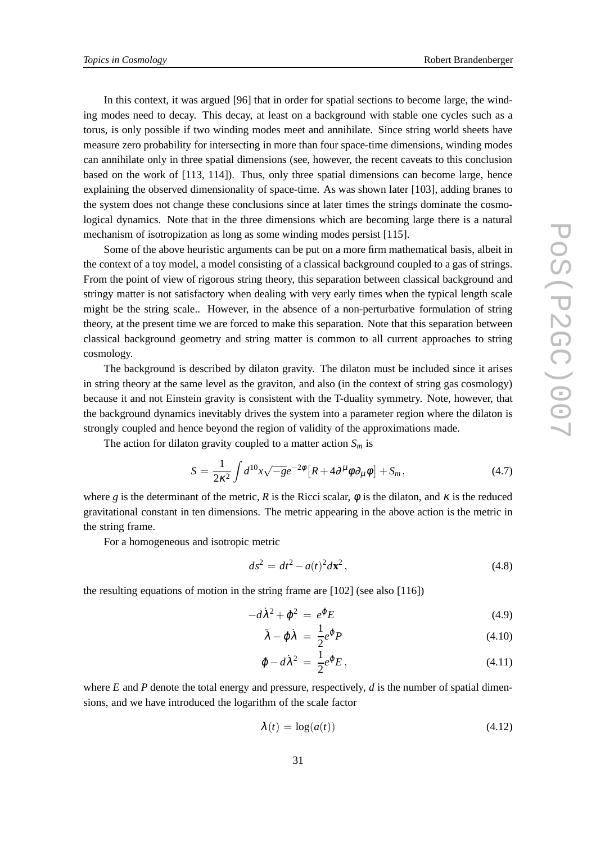In this context, it was argued [96] that in order for spatial sections to become large, the winding modes need to decay. This decay, at least on a background with stable one cycles such as a torus, is only possible if two winding modes meet and annihilate. Since string world sheets have measure zero probability for intersecting in more than four space-time dimensions, winding modes can annihilate only in three spatial dimensions (see, however, the recent caveats to this conclusion based on the work of [113, 114]). Thus, only three spatial dimensions can become large, hence explaining the observed dimensionality of space-time. As was shown later [103], adding branes to the system does not change these conclusions since at later times the strings dominate the cosmological dynamics. Note that in the three dimensions which are becoming large there is a natural mechanism of isotropization as long as some winding modes persist [115].

Some of the above heuristic arguments can be put on a more firm mathematical basis, albeit in the context of a toy model, a model consisting of a classical background coupled to a gas of strings. From the point of view of rigorous string theory, this separation between classical background and stringy matter is not satisfactory when dealing with very early times when the typical length scale might be the string scale.. However, in the absence of a non-perturbative formulation of string theory, at the present time we are forced to make this separation. Note that this separation between classical background geometry and string matter is common to all current approaches to string cosmology.

The background is described by dilaton gravity. The dilaton must be included since it arises in string theory at the same level as the graviton, and also (in the context of string gas cosmology) because it and not Einstein gravity is consistent with the T-duality symmetry. Note, however, that the background dynamics inevitably drives the system into a parameter region where the dilaton is strongly coupled and hence beyond the region of validity of the approximations made.

The action for dilaton gravity coupled to a matter action *S<sup>m</sup>* is

$$
S = \frac{1}{2\kappa^2} \int d^{10}x \sqrt{-g} e^{-2\phi} \left[ R + 4\partial^\mu \phi \partial_\mu \phi \right] + S_m, \tag{4.7}
$$

where *g* is the determinant of the metric, *R* is the Ricci scalar,  $\phi$  is the dilaton, and  $\kappa$  is the reduced gravitational constant in ten dimensions. The metric appearing in the above action is the metric in the string frame.

For a homogeneous and isotropic metric

$$
ds^2 = dt^2 - a(t)^2 d\mathbf{x}^2,
$$
\t(4.8)

the resulting equations of motion in the string frame are [102] (see also [116])

$$
-d\lambda^2 + \dot{\varphi}^2 = e^{\varphi} E \tag{4.9}
$$

$$
\ddot{\lambda} - \dot{\phi} \dot{\lambda} = \frac{1}{2} e^{\phi} P \tag{4.10}
$$

$$
\ddot{\varphi} - d\dot{\lambda}^2 = \frac{1}{2} e^{\varphi} E, \qquad (4.11)
$$

where *E* and *P* denote the total energy and pressure, respectively, *d* is the number of spatial dimensions, and we have introduced the logarithm of the scale factor

$$
\lambda(t) = \log(a(t))\tag{4.12}
$$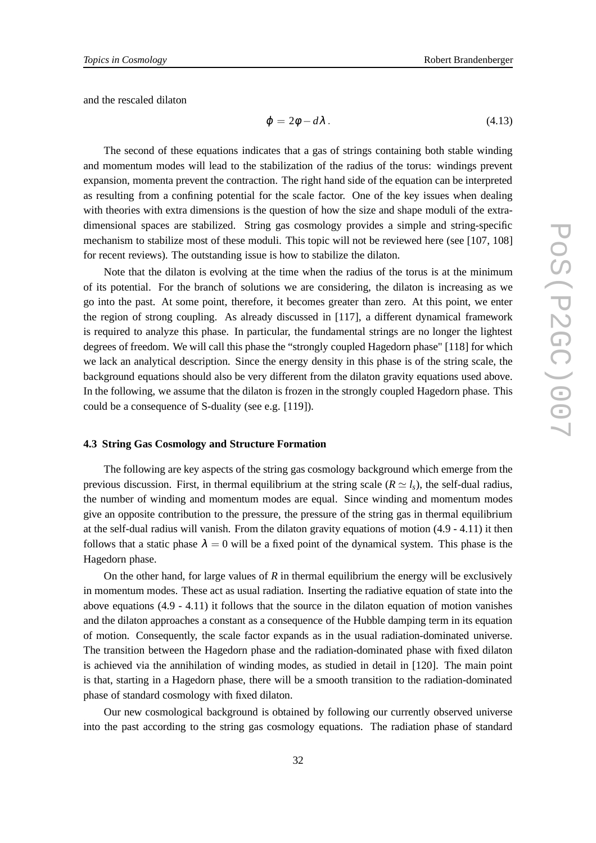and the rescaled dilaton

$$
\varphi = 2\phi - d\lambda. \tag{4.13}
$$

The second of these equations indicates that a gas of strings containing both stable winding and momentum modes will lead to the stabilization of the radius of the torus: windings prevent expansion, momenta prevent the contraction. The right hand side of the equation can be interpreted as resulting from a confining potential for the scale factor. One of the key issues when dealing with theories with extra dimensions is the question of how the size and shape moduli of the extradimensional spaces are stabilized. String gas cosmology provides a simple and string-specific mechanism to stabilize most of these moduli. This topic will not be reviewed here (see [107, 108] for recent reviews). The outstanding issue is how to stabilize the dilaton.

Note that the dilaton is evolving at the time when the radius of the torus is at the minimum of its potential. For the branch of solutions we are considering, the dilaton is increasing as we go into the past. At some point, therefore, it becomes greater than zero. At this point, we enter the region of strong coupling. As already discussed in [117], a different dynamical framework is required to analyze this phase. In particular, the fundamental strings are no longer the lightest degrees of freedom. We will call this phase the "strongly coupled Hagedorn phase" [118] for which we lack an analytical description. Since the energy density in this phase is of the string scale, the background equations should also be very different from the dilaton gravity equations used above. In the following, we assume that the dilaton is frozen in the strongly coupled Hagedorn phase. This could be a consequence of S-duality (see e.g. [119]).

### **4.3 String Gas Cosmology and Structure Formation**

The following are key aspects of the string gas cosmology background which emerge from the previous discussion. First, in thermal equilibrium at the string scale ( $R \simeq l_s$ ), the self-dual radius, the number of winding and momentum modes are equal. Since winding and momentum modes give an opposite contribution to the pressure, the pressure of the string gas in thermal equilibrium at the self-dual radius will vanish. From the dilaton gravity equations of motion (4.9 - 4.11) it then follows that a static phase  $\lambda = 0$  will be a fixed point of the dynamical system. This phase is the Hagedorn phase.

On the other hand, for large values of *R* in thermal equilibrium the energy will be exclusively in momentum modes. These act as usual radiation. Inserting the radiative equation of state into the above equations (4.9 - 4.11) it follows that the source in the dilaton equation of motion vanishes and the dilaton approaches a constant as a consequence of the Hubble damping term in its equation of motion. Consequently, the scale factor expands as in the usual radiation-dominated universe. The transition between the Hagedorn phase and the radiation-dominated phase with fixed dilaton is achieved via the annihilation of winding modes, as studied in detail in [120]. The main point is that, starting in a Hagedorn phase, there will be a smooth transition to the radiation-dominated phase of standard cosmology with fixed dilaton.

Our new cosmological background is obtained by following our currently observed universe into the past according to the string gas cosmology equations. The radiation phase of standard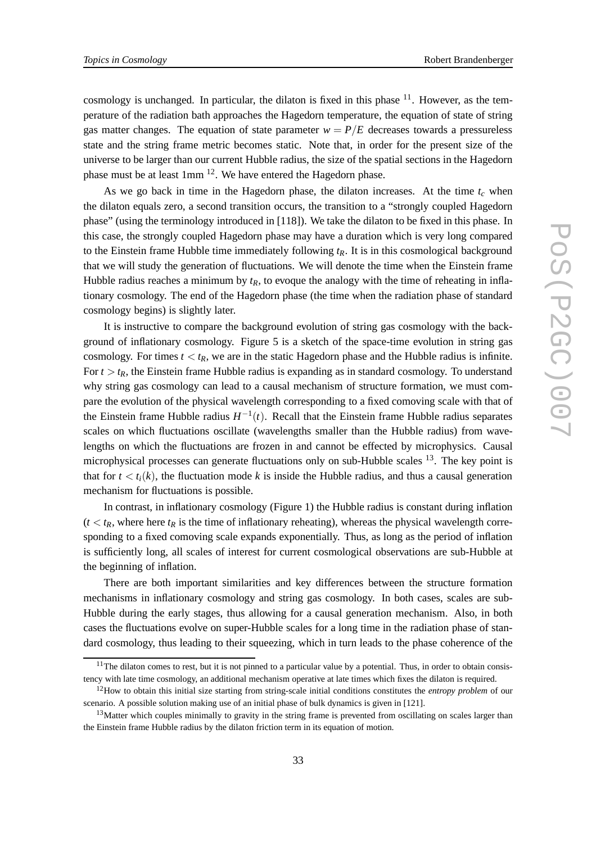cosmology is unchanged. In particular, the dilaton is fixed in this phase  $^{11}$ . However, as the temperature of the radiation bath approaches the Hagedorn temperature, the equation of state of string gas matter changes. The equation of state parameter  $w = P/E$  decreases towards a pressureless state and the string frame metric becomes static. Note that, in order for the present size of the universe to be larger than our current Hubble radius, the size of the spatial sections in the Hagedorn phase must be at least 1mm <sup>12</sup>. We have entered the Hagedorn phase.

As we go back in time in the Hagedorn phase, the dilaton increases. At the time  $t_c$  when the dilaton equals zero, a second transition occurs, the transition to a "strongly coupled Hagedorn phase" (using the terminology introduced in [118]). We take the dilaton to be fixed in this phase. In this case, the strongly coupled Hagedorn phase may have a duration which is very long compared to the Einstein frame Hubble time immediately following  $t_R$ . It is in this cosmological background that we will study the generation of fluctuations. We will denote the time when the Einstein frame Hubble radius reaches a minimum by  $t_R$ , to evoque the analogy with the time of reheating in inflationary cosmology. The end of the Hagedorn phase (the time when the radiation phase of standard cosmology begins) is slightly later.

It is instructive to compare the background evolution of string gas cosmology with the background of inflationary cosmology. Figure 5 is a sketch of the space-time evolution in string gas cosmology. For times  $t < t_R$ , we are in the static Hagedorn phase and the Hubble radius is infinite. For  $t > t_R$ , the Einstein frame Hubble radius is expanding as in standard cosmology. To understand why string gas cosmology can lead to a causal mechanism of structure formation, we must compare the evolution of the physical wavelength corresponding to a fixed comoving scale with that of the Einstein frame Hubble radius  $H^{-1}(t)$ . Recall that the Einstein frame Hubble radius separates scales on which fluctuations oscillate (wavelengths smaller than the Hubble radius) from wavelengths on which the fluctuations are frozen in and cannot be effected by microphysics. Causal microphysical processes can generate fluctuations only on sub-Hubble scales  $^{13}$ . The key point is that for  $t < t_i(k)$ , the fluctuation mode k is inside the Hubble radius, and thus a causal generation mechanism for fluctuations is possible.

In contrast, in inflationary cosmology (Figure 1) the Hubble radius is constant during inflation  $(t < t_R$ , where here  $t_R$  is the time of inflationary reheating), whereas the physical wavelength corresponding to a fixed comoving scale expands exponentially. Thus, as long as the period of inflation is sufficiently long, all scales of interest for current cosmological observations are sub-Hubble at the beginning of inflation.

There are both important similarities and key differences between the structure formation mechanisms in inflationary cosmology and string gas cosmology. In both cases, scales are sub-Hubble during the early stages, thus allowing for a causal generation mechanism. Also, in both cases the fluctuations evolve on super-Hubble scales for a long time in the radiation phase of standard cosmology, thus leading to their squeezing, which in turn leads to the phase coherence of the

 $11$ The dilaton comes to rest, but it is not pinned to a particular value by a potential. Thus, in order to obtain consistency with late time cosmology, an additional mechanism operative at late times which fixes the dilaton is required.

<sup>12</sup>How to obtain this initial size starting from string-scale initial conditions constitutes the *entropy problem* of our scenario. A possible solution making use of an initial phase of bulk dynamics is given in [121].

<sup>&</sup>lt;sup>13</sup>Matter which couples minimally to gravity in the string frame is prevented from oscillating on scales larger than the Einstein frame Hubble radius by the dilaton friction term in its equation of motion.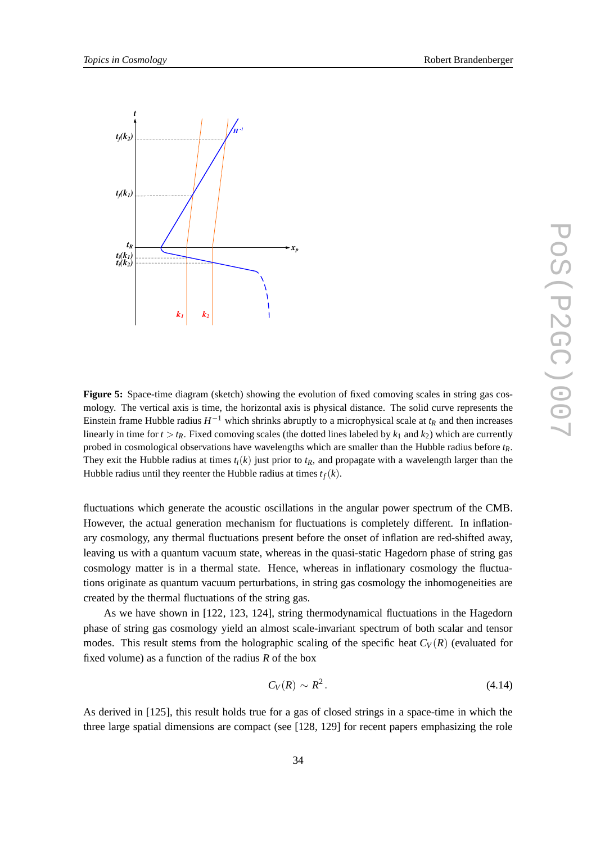

**Figure 5:** Space-time diagram (sketch) showing the evolution of fixed comoving scales in string gas cosmology. The vertical axis is time, the horizontal axis is physical distance. The solid curve represents the Einstein frame Hubble radius *H* <sup>−</sup><sup>1</sup> which shrinks abruptly to a microphysical scale at *t<sup>R</sup>* and then increases linearly in time for  $t > t_R$ . Fixed comoving scales (the dotted lines labeled by  $k_1$  and  $k_2$ ) which are currently probed in cosmological observations have wavelengths which are smaller than the Hubble radius before *tR*. They exit the Hubble radius at times  $t_i(k)$  just prior to  $t_R$ , and propagate with a wavelength larger than the Hubble radius until they reenter the Hubble radius at times  $t_f(k)$ .

fluctuations which generate the acoustic oscillations in the angular power spectrum of the CMB. However, the actual generation mechanism for fluctuations is completely different. In inflationary cosmology, any thermal fluctuations present before the onset of inflation are red-shifted away, leaving us with a quantum vacuum state, whereas in the quasi-static Hagedorn phase of string gas cosmology matter is in a thermal state. Hence, whereas in inflationary cosmology the fluctuations originate as quantum vacuum perturbations, in string gas cosmology the inhomogeneities are created by the thermal fluctuations of the string gas.

As we have shown in [122, 123, 124], string thermodynamical fluctuations in the Hagedorn phase of string gas cosmology yield an almost scale-invariant spectrum of both scalar and tensor modes. This result stems from the holographic scaling of the specific heat  $C_V(R)$  (evaluated for fixed volume) as a function of the radius *R* of the box

$$
C_V(R) \sim R^2. \tag{4.14}
$$

As derived in [125], this result holds true for a gas of closed strings in a space-time in which the three large spatial dimensions are compact (see [128, 129] for recent papers emphasizing the role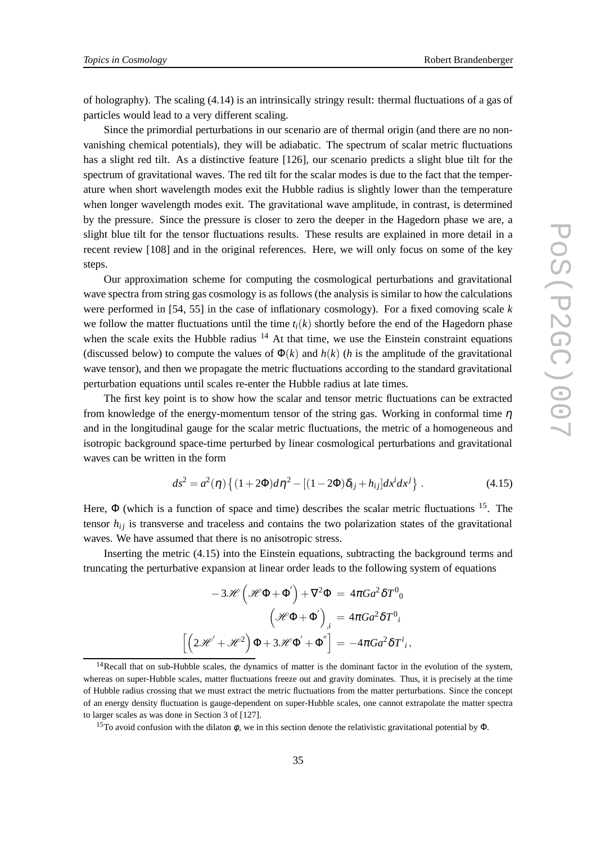of holography). The scaling (4.14) is an intrinsically stringy result: thermal fluctuations of a gas of particles would lead to a very different scaling.

Since the primordial perturbations in our scenario are of thermal origin (and there are no nonvanishing chemical potentials), they will be adiabatic. The spectrum of scalar metric fluctuations has a slight red tilt. As a distinctive feature [126], our scenario predicts a slight blue tilt for the spectrum of gravitational waves. The red tilt for the scalar modes is due to the fact that the temperature when short wavelength modes exit the Hubble radius is slightly lower than the temperature when longer wavelength modes exit. The gravitational wave amplitude, in contrast, is determined by the pressure. Since the pressure is closer to zero the deeper in the Hagedorn phase we are, a slight blue tilt for the tensor fluctuations results. These results are explained in more detail in a recent review [108] and in the original references. Here, we will only focus on some of the key steps.

Our approximation scheme for computing the cosmological perturbations and gravitational wave spectra from string gas cosmology is as follows (the analysis is similar to how the calculations were performed in [54, 55] in the case of inflationary cosmology). For a fixed comoving scale *k* we follow the matter fluctuations until the time  $t_i(k)$  shortly before the end of the Hagedorn phase when the scale exits the Hubble radius  $14$  At that time, we use the Einstein constraint equations (discussed below) to compute the values of  $\Phi(k)$  and  $h(k)$  (*h* is the amplitude of the gravitational wave tensor), and then we propagate the metric fluctuations according to the standard gravitational perturbation equations until scales re-enter the Hubble radius at late times.

The first key point is to show how the scalar and tensor metric fluctuations can be extracted from knowledge of the energy-momentum tensor of the string gas. Working in conformal time  $\eta$ and in the longitudinal gauge for the scalar metric fluctuations, the metric of a homogeneous and isotropic background space-time perturbed by linear cosmological perturbations and gravitational waves can be written in the form

$$
ds^{2} = a^{2}(\eta) \left\{ (1+2\Phi)d\eta^{2} - [(1-2\Phi)\delta_{ij} + h_{ij}]dx^{i}dx^{j} \right\}.
$$
 (4.15)

Here,  $\Phi$  (which is a function of space and time) describes the scalar metric fluctuations  $^{15}$ . The tensor  $h_{ij}$  is transverse and traceless and contains the two polarization states of the gravitational waves. We have assumed that there is no anisotropic stress.

Inserting the metric (4.15) into the Einstein equations, subtracting the background terms and truncating the perturbative expansion at linear order leads to the following system of equations

$$
-3\mathscr{H}(\mathscr{H}\Phi + \Phi') + \nabla^2 \Phi = 4\pi G a^2 \delta T^0
$$

$$
(\mathscr{H}\Phi + \Phi')_{,i} = 4\pi G a^2 \delta T^0
$$

$$
[(2\mathscr{H}' + \mathscr{H}^2)\Phi + 3\mathscr{H}\Phi' + \Phi''] = -4\pi G a^2 \delta T^i
$$

 $14$ Recall that on sub-Hubble scales, the dynamics of matter is the dominant factor in the evolution of the system, whereas on super-Hubble scales, matter fluctuations freeze out and gravity dominates. Thus, it is precisely at the time of Hubble radius crossing that we must extract the metric fluctuations from the matter perturbations. Since the concept of an energy density fluctuation is gauge-dependent on super-Hubble scales, one cannot extrapolate the matter spectra to larger scales as was done in Section 3 of [127].

<sup>&</sup>lt;sup>15</sup>To avoid confusion with the dilaton  $\phi$ , we in this section denote the relativistic gravitational potential by  $\Phi$ .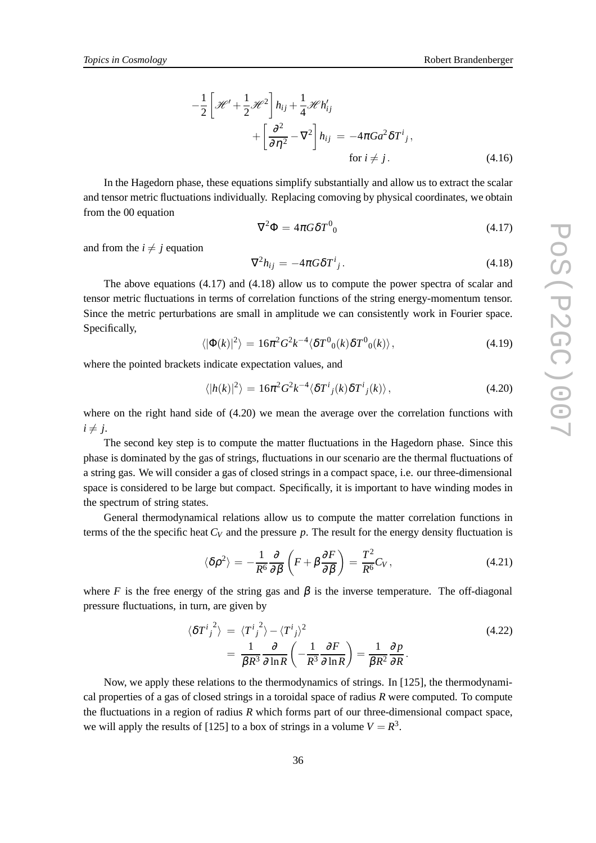$$
-\frac{1}{2}\left[\mathcal{H}' + \frac{1}{2}\mathcal{H}^2\right]h_{ij} + \frac{1}{4}\mathcal{H}h'_{ij}
$$
  
+ 
$$
\left[\frac{\partial^2}{\partial \eta^2} - \nabla^2\right]h_{ij} = -4\pi Ga^2\delta T^i_j,
$$
  
for  $i \neq j$ . (4.16)

In the Hagedorn phase, these equations simplify substantially and allow us to extract the scalar and tensor metric fluctuations individually. Replacing comoving by physical coordinates, we obtain from the 00 equation

$$
\nabla^2 \Phi = 4\pi G \delta T^0_{\ \,0} \tag{4.17}
$$

and from the  $i \neq j$  equation

$$
\nabla^2 h_{ij} = -4\pi G \delta T^i{}_j. \tag{4.18}
$$

The above equations (4.17) and (4.18) allow us to compute the power spectra of scalar and tensor metric fluctuations in terms of correlation functions of the string energy-momentum tensor. Since the metric perturbations are small in amplitude we can consistently work in Fourier space. Specifically,

$$
\langle |\Phi(k)|^2 \rangle = 16\pi^2 G^2 k^{-4} \langle \delta T^0{}_0(k) \delta T^0{}_0(k) \rangle, \tag{4.19}
$$

where the pointed brackets indicate expectation values, and

$$
\langle |h(k)|^2 \rangle = 16\pi^2 G^2 k^{-4} \langle \delta T^i{}_j(k) \delta T^i{}_j(k) \rangle, \qquad (4.20)
$$

where on the right hand side of (4.20) we mean the average over the correlation functions with  $i \neq j$ .

The second key step is to compute the matter fluctuations in the Hagedorn phase. Since this phase is dominated by the gas of strings, fluctuations in our scenario are the thermal fluctuations of a string gas. We will consider a gas of closed strings in a compact space, i.e. our three-dimensional space is considered to be large but compact. Specifically, it is important to have winding modes in the spectrum of string states.

General thermodynamical relations allow us to compute the matter correlation functions in terms of the the specific heat  $C_V$  and the pressure  $p$ . The result for the energy density fluctuation is

$$
\langle \delta \rho^2 \rangle = -\frac{1}{R^6} \frac{\partial}{\partial \beta} \left( F + \beta \frac{\partial F}{\partial \beta} \right) = \frac{T^2}{R^6} C_V, \qquad (4.21)
$$

where *F* is the free energy of the string gas and  $\beta$  is the inverse temperature. The off-diagonal pressure fluctuations, in turn, are given by

$$
\langle \delta T^{i}{}_{j}^{2} \rangle = \langle T^{i}{}_{j}^{2} \rangle - \langle T^{i}{}_{j} \rangle^{2}
$$
\n
$$
= \frac{1}{\beta R^{3}} \frac{\partial}{\partial \ln R} \left( -\frac{1}{R^{3}} \frac{\partial F}{\partial \ln R} \right) = \frac{1}{\beta R^{2}} \frac{\partial p}{\partial R}.
$$
\n(4.22)

Now, we apply these relations to the thermodynamics of strings. In [125], the thermodynamical properties of a gas of closed strings in a toroidal space of radius *R* were computed. To compute the fluctuations in a region of radius *R* which forms part of our three-dimensional compact space, we will apply the results of [125] to a box of strings in a volume  $V = R^3$ .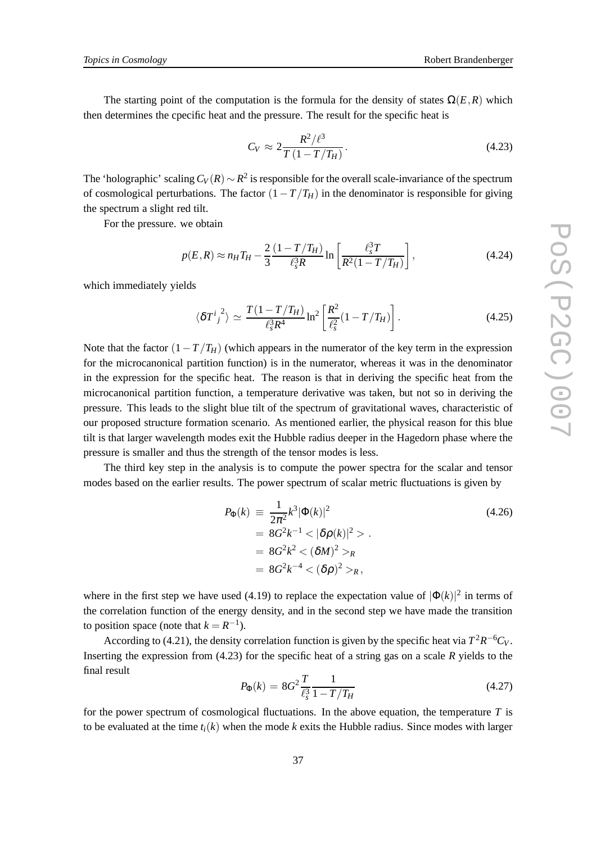The starting point of the computation is the formula for the density of states  $\Omega(E, R)$  which then determines the cpecific heat and the pressure. The result for the specific heat is

$$
C_V \approx 2 \frac{R^2 / \ell^3}{T (1 - T/T_H)}.
$$
\n(4.23)

The 'holographic' scaling*C<sup>V</sup>* (*R*) ∼ *R* 2 is responsible for the overall scale-invariance of the spectrum of cosmological perturbations. The factor  $(1-T/T_H)$  in the denominator is responsible for giving the spectrum a slight red tilt.

For the pressure. we obtain

$$
p(E,R) \approx n_H T_H - \frac{2}{3} \frac{(1 - T/T_H)}{\ell_s^3 R} \ln \left[ \frac{\ell_s^3 T}{R^2 (1 - T/T_H)} \right],
$$
 (4.24)

which immediately yields

$$
\langle \delta T^i{}_j{}^2 \rangle \simeq \frac{T(1 - T/T_H)}{\ell_s^3 R^4} \ln^2 \left[ \frac{R^2}{\ell_s^2} (1 - T/T_H) \right]. \tag{4.25}
$$

Note that the factor  $(1-T/T_H)$  (which appears in the numerator of the key term in the expression for the microcanonical partition function) is in the numerator, whereas it was in the denominator in the expression for the specific heat. The reason is that in deriving the specific heat from the microcanonical partition function, a temperature derivative was taken, but not so in deriving the pressure. This leads to the slight blue tilt of the spectrum of gravitational waves, characteristic of our proposed structure formation scenario. As mentioned earlier, the physical reason for this blue tilt is that larger wavelength modes exit the Hubble radius deeper in the Hagedorn phase where the pressure is smaller and thus the strength of the tensor modes is less.

The third key step in the analysis is to compute the power spectra for the scalar and tensor modes based on the earlier results. The power spectrum of scalar metric fluctuations is given by

$$
P_{\Phi}(k) \equiv \frac{1}{2\pi^2} k^3 |\Phi(k)|^2
$$
  
=  $8G^2 k^{-1} < |\delta \rho(k)|^2 >$ .  
=  $8G^2 k^2 < (\delta M)^2 >_R$   
=  $8G^2 k^{-4} < (\delta \rho)^2 >_R$ ,

where in the first step we have used (4.19) to replace the expectation value of  $|\Phi(k)|^2$  in terms of the correlation function of the energy density, and in the second step we have made the transition to position space (note that  $k = R^{-1}$ ).

According to (4.21), the density correlation function is given by the specific heat via  $T^2R^{-6}C_V$ . Inserting the expression from (4.23) for the specific heat of a string gas on a scale *R* yields to the final result

$$
P_{\Phi}(k) = 8G^2 \frac{T}{\ell_s^3} \frac{1}{1 - T/T_H}
$$
\n(4.27)

for the power spectrum of cosmological fluctuations. In the above equation, the temperature *T* is to be evaluated at the time  $t_i(k)$  when the mode k exits the Hubble radius. Since modes with larger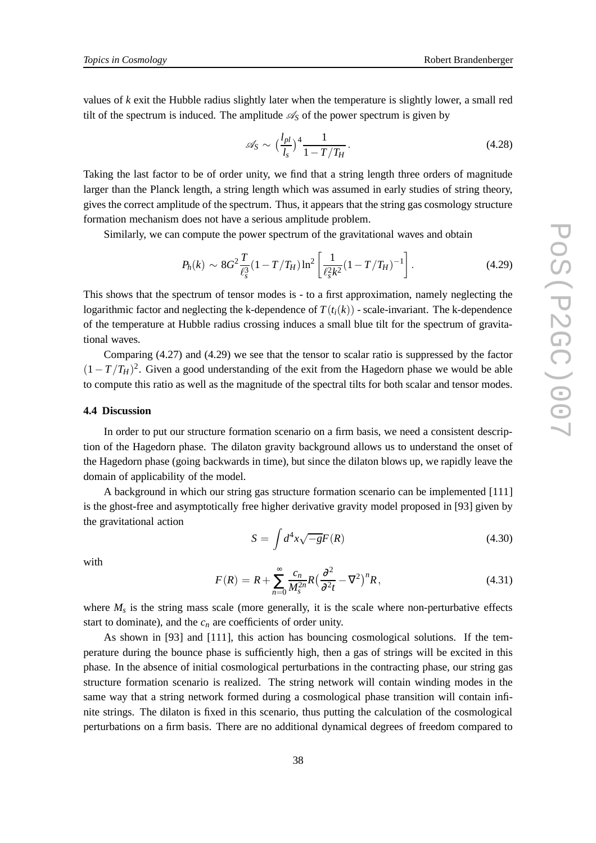values of *k* exit the Hubble radius slightly later when the temperature is slightly lower, a small red tilt of the spectrum is induced. The amplitude  $\mathcal{A}_S$  of the power spectrum is given by

$$
\mathscr{A}_S \sim \left(\frac{l_{pl}}{l_s}\right)^4 \frac{1}{1 - T/T_H}.
$$
\n(4.28)

Taking the last factor to be of order unity, we find that a string length three orders of magnitude larger than the Planck length, a string length which was assumed in early studies of string theory, gives the correct amplitude of the spectrum. Thus, it appears that the string gas cosmology structure formation mechanism does not have a serious amplitude problem.

Similarly, we can compute the power spectrum of the gravitational waves and obtain

$$
P_h(k) \sim 8G^2 \frac{T}{\ell_s^3} (1 - T/T_H) \ln^2 \left[ \frac{1}{\ell_s^2 k^2} (1 - T/T_H)^{-1} \right].
$$
 (4.29)

This shows that the spectrum of tensor modes is - to a first approximation, namely neglecting the logarithmic factor and neglecting the k-dependence of  $T(t_i(k))$  - scale-invariant. The k-dependence of the temperature at Hubble radius crossing induces a small blue tilt for the spectrum of gravitational waves.

Comparing (4.27) and (4.29) we see that the tensor to scalar ratio is suppressed by the factor  $(1 - T/T_H)^2$ . Given a good understanding of the exit from the Hagedorn phase we would be able to compute this ratio as well as the magnitude of the spectral tilts for both scalar and tensor modes.

# **4.4 Discussion**

In order to put our structure formation scenario on a firm basis, we need a consistent description of the Hagedorn phase. The dilaton gravity background allows us to understand the onset of the Hagedorn phase (going backwards in time), but since the dilaton blows up, we rapidly leave the domain of applicability of the model.

A background in which our string gas structure formation scenario can be implemented [111] is the ghost-free and asymptotically free higher derivative gravity model proposed in [93] given by the gravitational action

$$
S = \int d^4x \sqrt{-g} F(R)
$$
\n(4.30)

with

$$
F(R) = R + \sum_{n=0}^{\infty} \frac{c_n}{M_s^{2n}} R \left(\frac{\partial^2}{\partial^2 t} - \nabla^2\right)^n R, \tag{4.31}
$$

where  $M_s$  is the string mass scale (more generally, it is the scale where non-perturbative effects start to dominate), and the  $c_n$  are coefficients of order unity.

As shown in [93] and [111], this action has bouncing cosmological solutions. If the temperature during the bounce phase is sufficiently high, then a gas of strings will be excited in this phase. In the absence of initial cosmological perturbations in the contracting phase, our string gas structure formation scenario is realized. The string network will contain winding modes in the same way that a string network formed during a cosmological phase transition will contain infinite strings. The dilaton is fixed in this scenario, thus putting the calculation of the cosmological perturbations on a firm basis. There are no additional dynamical degrees of freedom compared to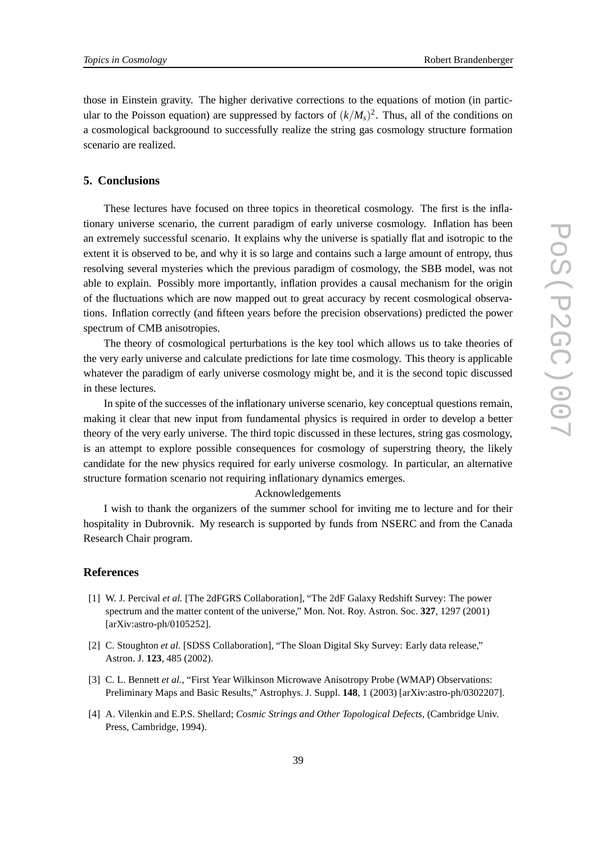those in Einstein gravity. The higher derivative corrections to the equations of motion (in particular to the Poisson equation) are suppressed by factors of  $(k/M_s)^2$ . Thus, all of the conditions on a cosmological backgroound to successfully realize the string gas cosmology structure formation scenario are realized.

## **5. Conclusions**

These lectures have focused on three topics in theoretical cosmology. The first is the inflationary universe scenario, the current paradigm of early universe cosmology. Inflation has been an extremely successful scenario. It explains why the universe is spatially flat and isotropic to the extent it is observed to be, and why it is so large and contains such a large amount of entropy, thus resolving several mysteries which the previous paradigm of cosmology, the SBB model, was not able to explain. Possibly more importantly, inflation provides a causal mechanism for the origin of the fluctuations which are now mapped out to great accuracy by recent cosmological observations. Inflation correctly (and fifteen years before the precision observations) predicted the power spectrum of CMB anisotropies.

The theory of cosmological perturbations is the key tool which allows us to take theories of the very early universe and calculate predictions for late time cosmology. This theory is applicable whatever the paradigm of early universe cosmology might be, and it is the second topic discussed in these lectures.

In spite of the successes of the inflationary universe scenario, key conceptual questions remain, making it clear that new input from fundamental physics is required in order to develop a better theory of the very early universe. The third topic discussed in these lectures, string gas cosmology, is an attempt to explore possible consequences for cosmology of superstring theory, the likely candidate for the new physics required for early universe cosmology. In particular, an alternative structure formation scenario not requiring inflationary dynamics emerges.

## Acknowledgements

I wish to thank the organizers of the summer school for inviting me to lecture and for their hospitality in Dubrovnik. My research is supported by funds from NSERC and from the Canada Research Chair program.

#### **References**

- [1] W. J. Percival *et al.* [The 2dFGRS Collaboration], "The 2dF Galaxy Redshift Survey: The power spectrum and the matter content of the universe," Mon. Not. Roy. Astron. Soc. **327**, 1297 (2001) [arXiv:astro-ph/0105252].
- [2] C. Stoughton *et al.* [SDSS Collaboration], "The Sloan Digital Sky Survey: Early data release," Astron. J. **123**, 485 (2002).
- [3] C. L. Bennett *et al.*, "First Year Wilkinson Microwave Anisotropy Probe (WMAP) Observations: Preliminary Maps and Basic Results," Astrophys. J. Suppl. **148**, 1 (2003) [arXiv:astro-ph/0302207].
- [4] A. Vilenkin and E.P.S. Shellard; *Cosmic Strings and Other Topological Defects*, (Cambridge Univ. Press, Cambridge, 1994).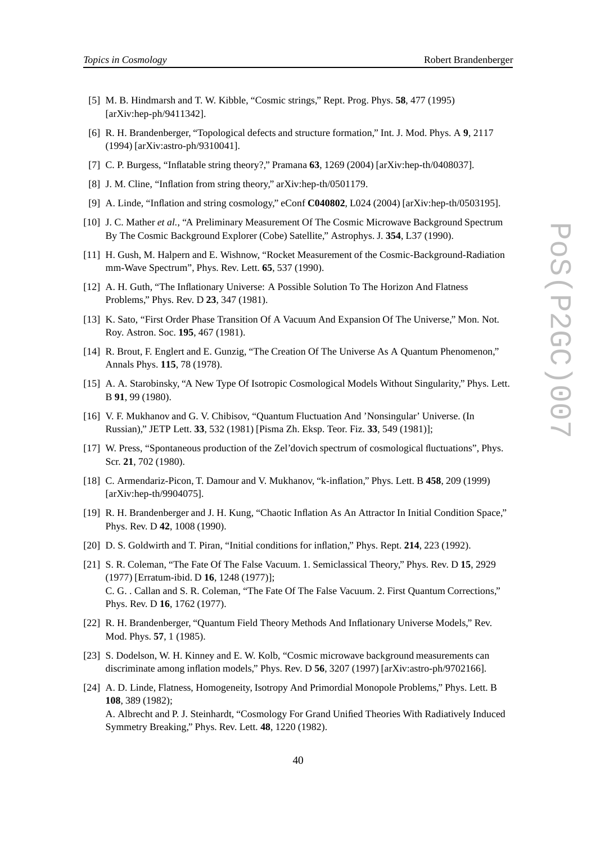- [5] M. B. Hindmarsh and T. W. Kibble, "Cosmic strings," Rept. Prog. Phys. **58**, 477 (1995) [arXiv:hep-ph/9411342].
- [6] R. H. Brandenberger, "Topological defects and structure formation," Int. J. Mod. Phys. A **9**, 2117 (1994) [arXiv:astro-ph/9310041].
- [7] C. P. Burgess, "Inflatable string theory?," Pramana **63**, 1269 (2004) [arXiv:hep-th/0408037].
- [8] J. M. Cline, "Inflation from string theory," arXiv:hep-th/0501179.
- [9] A. Linde, "Inflation and string cosmology," eConf **C040802**, L024 (2004) [arXiv:hep-th/0503195].
- [10] J. C. Mather *et al.*, "A Preliminary Measurement Of The Cosmic Microwave Background Spectrum By The Cosmic Background Explorer (Cobe) Satellite," Astrophys. J. **354**, L37 (1990).
- [11] H. Gush, M. Halpern and E. Wishnow, "Rocket Measurement of the Cosmic-Background-Radiation mm-Wave Spectrum", Phys. Rev. Lett. **65**, 537 (1990).
- [12] A. H. Guth, "The Inflationary Universe: A Possible Solution To The Horizon And Flatness Problems," Phys. Rev. D **23**, 347 (1981).
- [13] K. Sato, "First Order Phase Transition Of A Vacuum And Expansion Of The Universe," Mon. Not. Roy. Astron. Soc. **195**, 467 (1981).
- [14] R. Brout, F. Englert and E. Gunzig, "The Creation Of The Universe As A Quantum Phenomenon," Annals Phys. **115**, 78 (1978).
- [15] A. A. Starobinsky, "A New Type Of Isotropic Cosmological Models Without Singularity," Phys. Lett. B **91**, 99 (1980).
- [16] V. F. Mukhanov and G. V. Chibisov, "Quantum Fluctuation And 'Nonsingular' Universe. (In Russian)," JETP Lett. **33**, 532 (1981) [Pisma Zh. Eksp. Teor. Fiz. **33**, 549 (1981)];
- [17] W. Press, "Spontaneous production of the Zel'dovich spectrum of cosmological fluctuations", Phys. Scr. **21**, 702 (1980).
- [18] C. Armendariz-Picon, T. Damour and V. Mukhanov, "k-inflation," Phys. Lett. B **458**, 209 (1999) [arXiv:hep-th/9904075].
- [19] R. H. Brandenberger and J. H. Kung, "Chaotic Inflation As An Attractor In Initial Condition Space," Phys. Rev. D **42**, 1008 (1990).
- [20] D. S. Goldwirth and T. Piran, "Initial conditions for inflation," Phys. Rept. **214**, 223 (1992).
- [21] S. R. Coleman, "The Fate Of The False Vacuum. 1. Semiclassical Theory," Phys. Rev. D **15**, 2929 (1977) [Erratum-ibid. D **16**, 1248 (1977)]; C. G. . Callan and S. R. Coleman, "The Fate Of The False Vacuum. 2. First Quantum Corrections," Phys. Rev. D **16**, 1762 (1977).
- [22] R. H. Brandenberger, "Quantum Field Theory Methods And Inflationary Universe Models," Rev. Mod. Phys. **57**, 1 (1985).
- [23] S. Dodelson, W. H. Kinney and E. W. Kolb, "Cosmic microwave background measurements can discriminate among inflation models," Phys. Rev. D **56**, 3207 (1997) [arXiv:astro-ph/9702166].
- [24] A. D. Linde, Flatness, Homogeneity, Isotropy And Primordial Monopole Problems," Phys. Lett. B **108**, 389 (1982); A. Albrecht and P. J. Steinhardt, "Cosmology For Grand Unified Theories With Radiatively Induced Symmetry Breaking," Phys. Rev. Lett. **48**, 1220 (1982).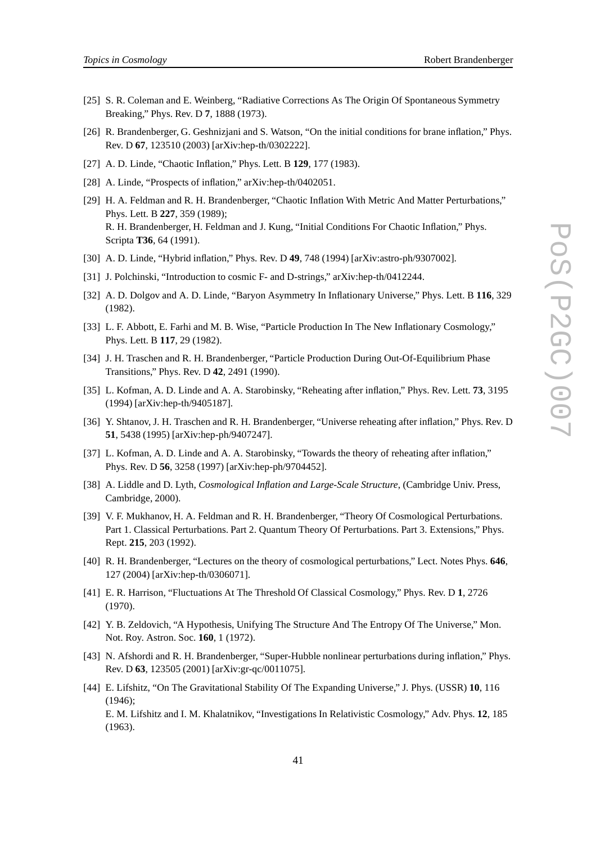- *Topics in Cosmology* Robert Brandenberger
- [25] S. R. Coleman and E. Weinberg, "Radiative Corrections As The Origin Of Spontaneous Symmetry Breaking," Phys. Rev. D **7**, 1888 (1973).
- [26] R. Brandenberger, G. Geshnizjani and S. Watson, "On the initial conditions for brane inflation," Phys. Rev. D **67**, 123510 (2003) [arXiv:hep-th/0302222].
- [27] A. D. Linde, "Chaotic Inflation," Phys. Lett. B **129**, 177 (1983).
- [28] A. Linde, "Prospects of inflation," arXiv:hep-th/0402051.
- [29] H. A. Feldman and R. H. Brandenberger, "Chaotic Inflation With Metric And Matter Perturbations," Phys. Lett. B **227**, 359 (1989); R. H. Brandenberger, H. Feldman and J. Kung, "Initial Conditions For Chaotic Inflation," Phys. Scripta **T36**, 64 (1991).
- [30] A. D. Linde, "Hybrid inflation," Phys. Rev. D **49**, 748 (1994) [arXiv:astro-ph/9307002].
- [31] J. Polchinski, "Introduction to cosmic F- and D-strings," arXiv:hep-th/0412244.
- [32] A. D. Dolgov and A. D. Linde, "Baryon Asymmetry In Inflationary Universe," Phys. Lett. B **116**, 329 (1982).
- [33] L. F. Abbott, E. Farhi and M. B. Wise, "Particle Production In The New Inflationary Cosmology," Phys. Lett. B **117**, 29 (1982).
- [34] J. H. Traschen and R. H. Brandenberger, "Particle Production During Out-Of-Equilibrium Phase Transitions," Phys. Rev. D **42**, 2491 (1990).
- [35] L. Kofman, A. D. Linde and A. A. Starobinsky, "Reheating after inflation," Phys. Rev. Lett. **73**, 3195 (1994) [arXiv:hep-th/9405187].
- [36] Y. Shtanov, J. H. Traschen and R. H. Brandenberger, "Universe reheating after inflation," Phys. Rev. D **51**, 5438 (1995) [arXiv:hep-ph/9407247].
- [37] L. Kofman, A. D. Linde and A. A. Starobinsky, "Towards the theory of reheating after inflation," Phys. Rev. D **56**, 3258 (1997) [arXiv:hep-ph/9704452].
- [38] A. Liddle and D. Lyth, *Cosmological Inflation and Large-Scale Structure*, (Cambridge Univ. Press, Cambridge, 2000).
- [39] V. F. Mukhanov, H. A. Feldman and R. H. Brandenberger, "Theory Of Cosmological Perturbations. Part 1. Classical Perturbations. Part 2. Quantum Theory Of Perturbations. Part 3. Extensions," Phys. Rept. **215**, 203 (1992).
- [40] R. H. Brandenberger, "Lectures on the theory of cosmological perturbations," Lect. Notes Phys. **646**, 127 (2004) [arXiv:hep-th/0306071].
- [41] E. R. Harrison, "Fluctuations At The Threshold Of Classical Cosmology," Phys. Rev. D **1**, 2726 (1970).
- [42] Y. B. Zeldovich, "A Hypothesis, Unifying The Structure And The Entropy Of The Universe," Mon. Not. Roy. Astron. Soc. **160**, 1 (1972).
- [43] N. Afshordi and R. H. Brandenberger, "Super-Hubble nonlinear perturbations during inflation," Phys. Rev. D **63**, 123505 (2001) [arXiv:gr-qc/0011075].
- [44] E. Lifshitz, "On The Gravitational Stability Of The Expanding Universe," J. Phys. (USSR) **10**, 116 (1946);

E. M. Lifshitz and I. M. Khalatnikov, "Investigations In Relativistic Cosmology," Adv. Phys. **12**, 185 (1963).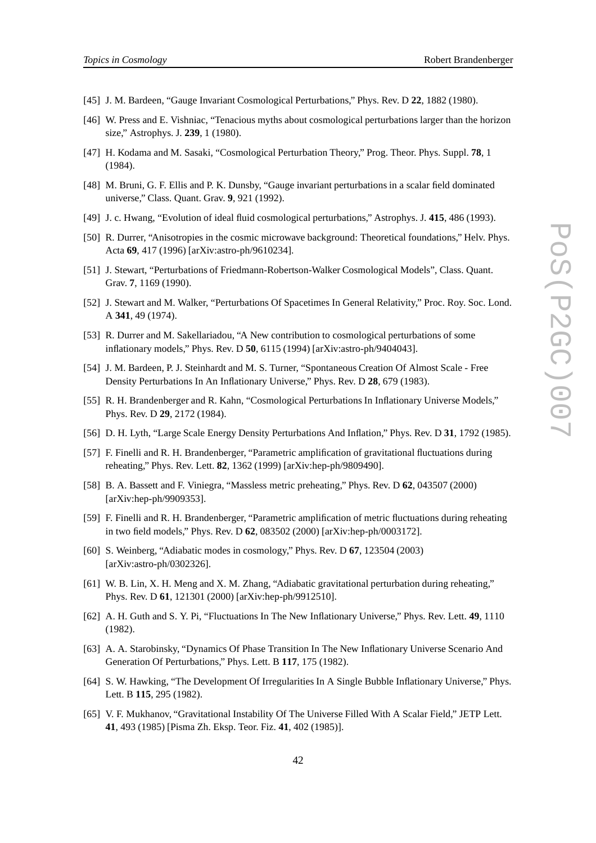- [45] J. M. Bardeen, "Gauge Invariant Cosmological Perturbations," Phys. Rev. D **22**, 1882 (1980).
- [46] W. Press and E. Vishniac, "Tenacious myths about cosmological perturbations larger than the horizon size," Astrophys. J. **239**, 1 (1980).
- [47] H. Kodama and M. Sasaki, "Cosmological Perturbation Theory," Prog. Theor. Phys. Suppl. **78**, 1 (1984).
- [48] M. Bruni, G. F. Ellis and P. K. Dunsby, "Gauge invariant perturbations in a scalar field dominated universe," Class. Quant. Grav. **9**, 921 (1992).
- [49] J. c. Hwang, "Evolution of ideal fluid cosmological perturbations," Astrophys. J. **415**, 486 (1993).
- [50] R. Durrer, "Anisotropies in the cosmic microwave background: Theoretical foundations," Helv. Phys. Acta **69**, 417 (1996) [arXiv:astro-ph/9610234].
- [51] J. Stewart, "Perturbations of Friedmann-Robertson-Walker Cosmological Models", Class. Quant. Grav. **7**, 1169 (1990).
- [52] J. Stewart and M. Walker, "Perturbations Of Spacetimes In General Relativity," Proc. Roy. Soc. Lond. A **341**, 49 (1974).
- [53] R. Durrer and M. Sakellariadou, "A New contribution to cosmological perturbations of some inflationary models," Phys. Rev. D **50**, 6115 (1994) [arXiv:astro-ph/9404043].
- [54] J. M. Bardeen, P. J. Steinhardt and M. S. Turner, "Spontaneous Creation Of Almost Scale Free Density Perturbations In An Inflationary Universe," Phys. Rev. D **28**, 679 (1983).
- [55] R. H. Brandenberger and R. Kahn, "Cosmological Perturbations In Inflationary Universe Models," Phys. Rev. D **29**, 2172 (1984).
- [56] D. H. Lyth, "Large Scale Energy Density Perturbations And Inflation," Phys. Rev. D **31**, 1792 (1985).
- [57] F. Finelli and R. H. Brandenberger, "Parametric amplification of gravitational fluctuations during reheating," Phys. Rev. Lett. **82**, 1362 (1999) [arXiv:hep-ph/9809490].
- [58] B. A. Bassett and F. Viniegra, "Massless metric preheating," Phys. Rev. D **62**, 043507 (2000) [arXiv:hep-ph/9909353].
- [59] F. Finelli and R. H. Brandenberger, "Parametric amplification of metric fluctuations during reheating in two field models," Phys. Rev. D **62**, 083502 (2000) [arXiv:hep-ph/0003172].
- [60] S. Weinberg, "Adiabatic modes in cosmology," Phys. Rev. D **67**, 123504 (2003) [arXiv:astro-ph/0302326].
- [61] W. B. Lin, X. H. Meng and X. M. Zhang, "Adiabatic gravitational perturbation during reheating," Phys. Rev. D **61**, 121301 (2000) [arXiv:hep-ph/9912510].
- [62] A. H. Guth and S. Y. Pi, "Fluctuations In The New Inflationary Universe," Phys. Rev. Lett. **49**, 1110 (1982).
- [63] A. A. Starobinsky, "Dynamics Of Phase Transition In The New Inflationary Universe Scenario And Generation Of Perturbations," Phys. Lett. B **117**, 175 (1982).
- [64] S. W. Hawking, "The Development Of Irregularities In A Single Bubble Inflationary Universe," Phys. Lett. B **115**, 295 (1982).
- [65] V. F. Mukhanov, "Gravitational Instability Of The Universe Filled With A Scalar Field," JETP Lett. **41**, 493 (1985) [Pisma Zh. Eksp. Teor. Fiz. **41**, 402 (1985)].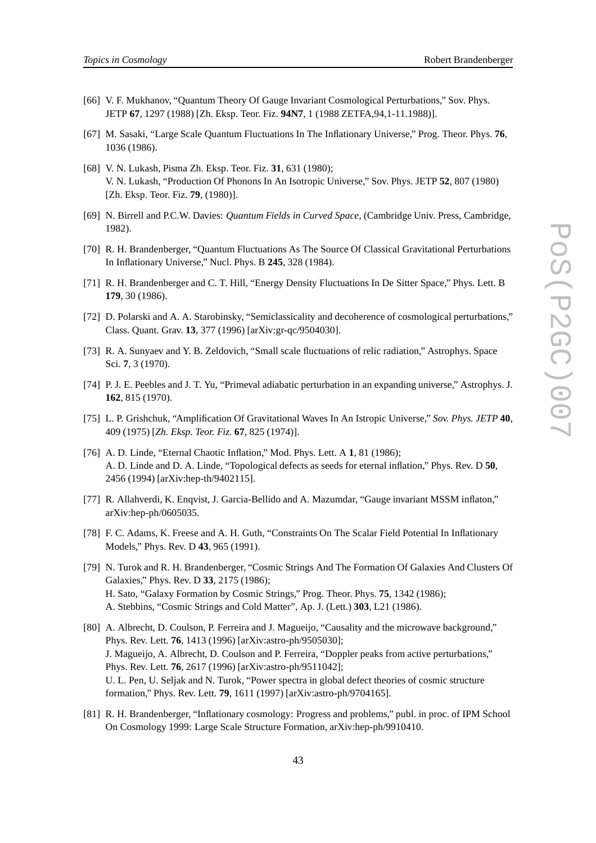- [66] V. F. Mukhanov, "Quantum Theory Of Gauge Invariant Cosmological Perturbations," Sov. Phys. JETP **67**, 1297 (1988) [Zh. Eksp. Teor. Fiz. **94N7**, 1 (1988 ZETFA,94,1-11.1988)].
- [67] M. Sasaki, "Large Scale Quantum Fluctuations In The Inflationary Universe," Prog. Theor. Phys. **76**, 1036 (1986).
- [68] V. N. Lukash, Pisma Zh. Eksp. Teor. Fiz. **31**, 631 (1980); V. N. Lukash, "Production Of Phonons In An Isotropic Universe," Sov. Phys. JETP **52**, 807 (1980) [Zh. Eksp. Teor. Fiz. **79**, (1980)].
- [69] N. Birrell and P.C.W. Davies: *Quantum Fields in Curved Space*, (Cambridge Univ. Press, Cambridge, 1982).
- [70] R. H. Brandenberger, "Quantum Fluctuations As The Source Of Classical Gravitational Perturbations In Inflationary Universe," Nucl. Phys. B **245**, 328 (1984).
- [71] R. H. Brandenberger and C. T. Hill, "Energy Density Fluctuations In De Sitter Space," Phys. Lett. B **179**, 30 (1986).
- [72] D. Polarski and A. A. Starobinsky, "Semiclassicality and decoherence of cosmological perturbations," Class. Quant. Grav. **13**, 377 (1996) [arXiv:gr-qc/9504030].
- [73] R. A. Sunyaev and Y. B. Zeldovich, "Small scale fluctuations of relic radiation," Astrophys. Space Sci. **7**, 3 (1970).
- [74] P. J. E. Peebles and J. T. Yu, "Primeval adiabatic perturbation in an expanding universe," Astrophys. J. **162**, 815 (1970).
- [75] L. P. Grishchuk, "Amplification Of Gravitational Waves In An Istropic Universe," *Sov. Phys. JETP* **40**, 409 (1975) [*Zh. Eksp. Teor. Fiz.* **67**, 825 (1974)].
- [76] A. D. Linde, "Eternal Chaotic Inflation," Mod. Phys. Lett. A **1**, 81 (1986); A. D. Linde and D. A. Linde, "Topological defects as seeds for eternal inflation," Phys. Rev. D **50**, 2456 (1994) [arXiv:hep-th/9402115].
- [77] R. Allahverdi, K. Enqvist, J. Garcia-Bellido and A. Mazumdar, "Gauge invariant MSSM inflaton," arXiv:hep-ph/0605035.
- [78] F. C. Adams, K. Freese and A. H. Guth, "Constraints On The Scalar Field Potential In Inflationary Models," Phys. Rev. D **43**, 965 (1991).
- [79] N. Turok and R. H. Brandenberger, "Cosmic Strings And The Formation Of Galaxies And Clusters Of Galaxies," Phys. Rev. D **33**, 2175 (1986); H. Sato, "Galaxy Formation by Cosmic Strings," Prog. Theor. Phys. **75**, 1342 (1986); A. Stebbins, "Cosmic Strings and Cold Matter", Ap. J. (Lett.) **303**, L21 (1986).
- [80] A. Albrecht, D. Coulson, P. Ferreira and J. Magueijo, "Causality and the microwave background," Phys. Rev. Lett. **76**, 1413 (1996) [arXiv:astro-ph/9505030]; J. Magueijo, A. Albrecht, D. Coulson and P. Ferreira, "Doppler peaks from active perturbations," Phys. Rev. Lett. **76**, 2617 (1996) [arXiv:astro-ph/9511042]; U. L. Pen, U. Seljak and N. Turok, "Power spectra in global defect theories of cosmic structure formation," Phys. Rev. Lett. **79**, 1611 (1997) [arXiv:astro-ph/9704165].
- [81] R. H. Brandenberger, "Inflationary cosmology: Progress and problems," publ. in proc. of IPM School On Cosmology 1999: Large Scale Structure Formation, arXiv:hep-ph/9910410.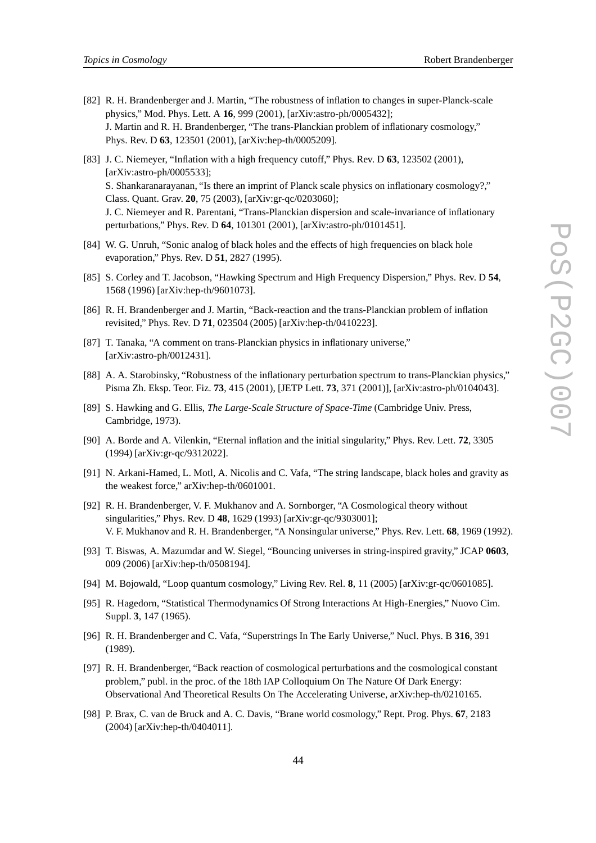- [82] R. H. Brandenberger and J. Martin, "The robustness of inflation to changes in super-Planck-scale physics," Mod. Phys. Lett. A **16**, 999 (2001), [arXiv:astro-ph/0005432]; J. Martin and R. H. Brandenberger, "The trans-Planckian problem of inflationary cosmology," Phys. Rev. D **63**, 123501 (2001), [arXiv:hep-th/0005209].
- [83] J. C. Niemeyer, "Inflation with a high frequency cutoff," Phys. Rev. D **63**, 123502 (2001), [arXiv:astro-ph/0005533]; S. Shankaranarayanan, "Is there an imprint of Planck scale physics on inflationary cosmology?," Class. Quant. Grav. **20**, 75 (2003), [arXiv:gr-qc/0203060]; J. C. Niemeyer and R. Parentani, "Trans-Planckian dispersion and scale-invariance of inflationary perturbations," Phys. Rev. D **64**, 101301 (2001), [arXiv:astro-ph/0101451].
- [84] W. G. Unruh, "Sonic analog of black holes and the effects of high frequencies on black hole evaporation," Phys. Rev. D **51**, 2827 (1995).
- [85] S. Corley and T. Jacobson, "Hawking Spectrum and High Frequency Dispersion," Phys. Rev. D **54**, 1568 (1996) [arXiv:hep-th/9601073].
- [86] R. H. Brandenberger and J. Martin, "Back-reaction and the trans-Planckian problem of inflation revisited," Phys. Rev. D **71**, 023504 (2005) [arXiv:hep-th/0410223].
- [87] T. Tanaka, "A comment on trans-Planckian physics in inflationary universe," [arXiv:astro-ph/0012431].
- [88] A. A. Starobinsky, "Robustness of the inflationary perturbation spectrum to trans-Planckian physics," Pisma Zh. Eksp. Teor. Fiz. **73**, 415 (2001), [JETP Lett. **73**, 371 (2001)], [arXiv:astro-ph/0104043].
- [89] S. Hawking and G. Ellis, *The Large-Scale Structure of Space-Time* (Cambridge Univ. Press, Cambridge, 1973).
- [90] A. Borde and A. Vilenkin, "Eternal inflation and the initial singularity," Phys. Rev. Lett. **72**, 3305 (1994) [arXiv:gr-qc/9312022].
- [91] N. Arkani-Hamed, L. Motl, A. Nicolis and C. Vafa, "The string landscape, black holes and gravity as the weakest force," arXiv:hep-th/0601001.
- [92] R. H. Brandenberger, V. F. Mukhanov and A. Sornborger, "A Cosmological theory without singularities," Phys. Rev. D **48**, 1629 (1993) [arXiv:gr-qc/9303001]; V. F. Mukhanov and R. H. Brandenberger, "A Nonsingular universe," Phys. Rev. Lett. **68**, 1969 (1992).
- [93] T. Biswas, A. Mazumdar and W. Siegel, "Bouncing universes in string-inspired gravity," JCAP **0603**, 009 (2006) [arXiv:hep-th/0508194].
- [94] M. Bojowald, "Loop quantum cosmology," Living Rev. Rel. **8**, 11 (2005) [arXiv:gr-qc/0601085].
- [95] R. Hagedorn, "Statistical Thermodynamics Of Strong Interactions At High-Energies," Nuovo Cim. Suppl. **3**, 147 (1965).
- [96] R. H. Brandenberger and C. Vafa, "Superstrings In The Early Universe," Nucl. Phys. B **316**, 391 (1989).
- [97] R. H. Brandenberger, "Back reaction of cosmological perturbations and the cosmological constant problem," publ. in the proc. of the 18th IAP Colloquium On The Nature Of Dark Energy: Observational And Theoretical Results On The Accelerating Universe, arXiv:hep-th/0210165.
- [98] P. Brax, C. van de Bruck and A. C. Davis, "Brane world cosmology," Rept. Prog. Phys. **67**, 2183 (2004) [arXiv:hep-th/0404011].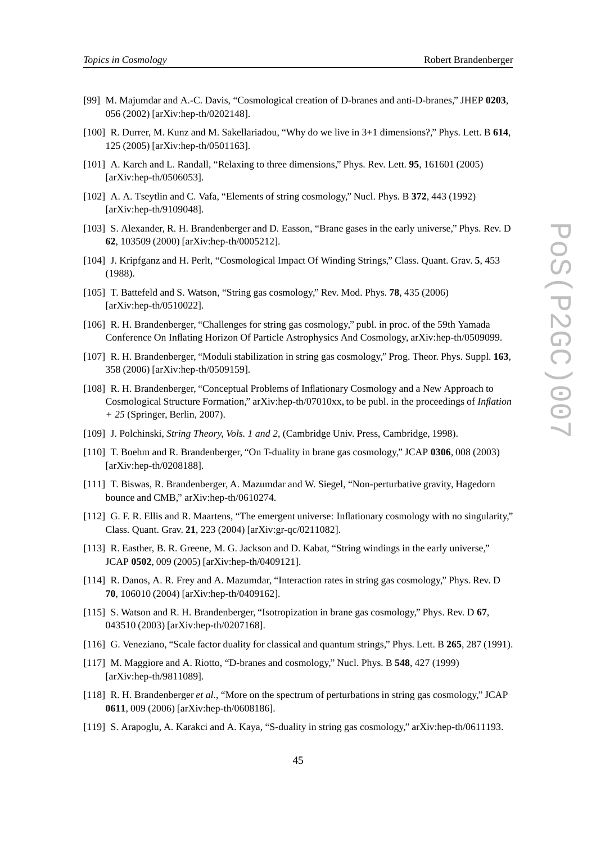- *Topics in Cosmology* Robert Brandenberger
- [99] M. Majumdar and A.-C. Davis, "Cosmological creation of D-branes and anti-D-branes," JHEP **0203**, 056 (2002) [arXiv:hep-th/0202148].
- [100] R. Durrer, M. Kunz and M. Sakellariadou, "Why do we live in 3+1 dimensions?," Phys. Lett. B **614**, 125 (2005) [arXiv:hep-th/0501163].
- [101] A. Karch and L. Randall, "Relaxing to three dimensions," Phys. Rev. Lett. **95**, 161601 (2005) [arXiv:hep-th/0506053].
- [102] A. A. Tseytlin and C. Vafa, "Elements of string cosmology," Nucl. Phys. B **372**, 443 (1992) [arXiv:hep-th/9109048].
- [103] S. Alexander, R. H. Brandenberger and D. Easson, "Brane gases in the early universe," Phys. Rev. D **62**, 103509 (2000) [arXiv:hep-th/0005212].
- [104] J. Kripfganz and H. Perlt, "Cosmological Impact Of Winding Strings," Class. Quant. Grav. **5**, 453 (1988).
- [105] T. Battefeld and S. Watson, "String gas cosmology," Rev. Mod. Phys. **78**, 435 (2006) [arXiv:hep-th/0510022].
- [106] R. H. Brandenberger, "Challenges for string gas cosmology," publ. in proc. of the 59th Yamada Conference On Inflating Horizon Of Particle Astrophysics And Cosmology, arXiv:hep-th/0509099.
- [107] R. H. Brandenberger, "Moduli stabilization in string gas cosmology," Prog. Theor. Phys. Suppl. **163**, 358 (2006) [arXiv:hep-th/0509159].
- [108] R. H. Brandenberger, "Conceptual Problems of Inflationary Cosmology and a New Approach to Cosmological Structure Formation," arXiv:hep-th/07010xx, to be publ. in the proceedings of *Inflation + 25* (Springer, Berlin, 2007).
- [109] J. Polchinski, *String Theory, Vols. 1 and 2*, (Cambridge Univ. Press, Cambridge, 1998).
- [110] T. Boehm and R. Brandenberger, "On T-duality in brane gas cosmology," JCAP **0306**, 008 (2003) [arXiv:hep-th/0208188].
- [111] T. Biswas, R. Brandenberger, A. Mazumdar and W. Siegel, "Non-perturbative gravity, Hagedorn bounce and CMB," arXiv:hep-th/0610274.
- [112] G. F. R. Ellis and R. Maartens, "The emergent universe: Inflationary cosmology with no singularity," Class. Quant. Grav. **21**, 223 (2004) [arXiv:gr-qc/0211082].
- [113] R. Easther, B. R. Greene, M. G. Jackson and D. Kabat, "String windings in the early universe," JCAP **0502**, 009 (2005) [arXiv:hep-th/0409121].
- [114] R. Danos, A. R. Frey and A. Mazumdar, "Interaction rates in string gas cosmology," Phys. Rev. D **70**, 106010 (2004) [arXiv:hep-th/0409162].
- [115] S. Watson and R. H. Brandenberger, "Isotropization in brane gas cosmology," Phys. Rev. D **67**, 043510 (2003) [arXiv:hep-th/0207168].
- [116] G. Veneziano, "Scale factor duality for classical and quantum strings," Phys. Lett. B **265**, 287 (1991).
- [117] M. Maggiore and A. Riotto, "D-branes and cosmology," Nucl. Phys. B **548**, 427 (1999) [arXiv:hep-th/9811089].
- [118] R. H. Brandenberger *et al.*, "More on the spectrum of perturbations in string gas cosmology," JCAP **0611**, 009 (2006) [arXiv:hep-th/0608186].
- [119] S. Arapoglu, A. Karakci and A. Kaya, "S-duality in string gas cosmology," arXiv:hep-th/0611193.